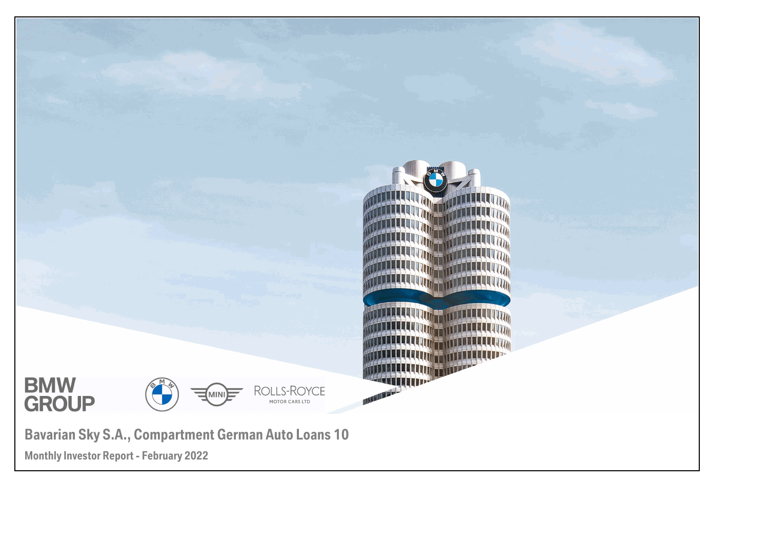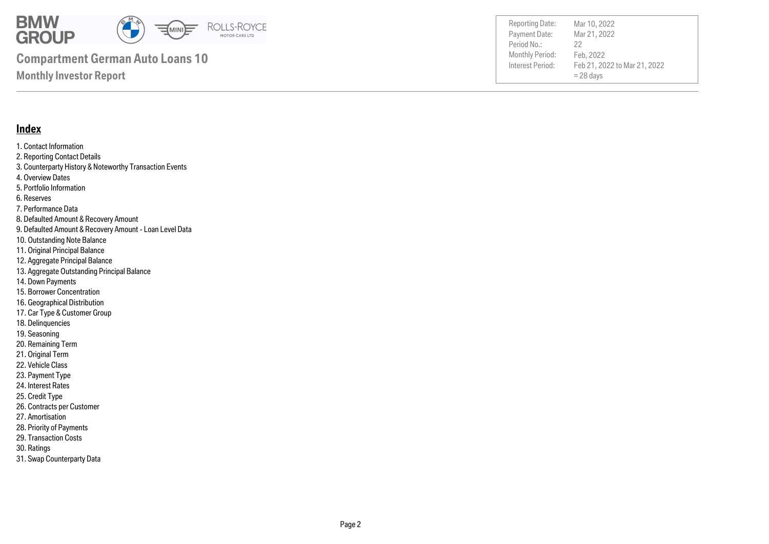

Payment Date: Period No.: Feb 21, 2022 to Mar 21, 2022  $= 28$  days Mar 21, 2022 Feb, 2022 22

Reporting Date: Mar 10, 2022

### **Monthly Investor Report**

### **Index**

- 1. Contact Information 2. Reporting Contact Details 3. Counterparty History & Noteworthy Transaction Events 4. Overview Dates 5. Portfolio Information 6. Reserves 7. Performance Data 8. Defaulted Amount & Recovery Amount 9. Defaulted Amount & Recovery Amount - Loan Level Data 10. Outstanding Note Balance 11. Original Principal Balance 12. Aggregate Principal Balance 13. Aggregate Outstanding Principal Balance 14. Down Payments 15. Borrower Concentration
- 
- 16. Geographical Distribution
- 17. Car Type & Customer Group
- 18. Delinquencies
- 19. Seasoning
- 20. Remaining Term
- 21. Original Term
- 22. Vehicle Class
- 23. Payment Type
- 24. Interest Rates
- 25. Credit Type
- 26. Contracts per Customer
- 27. Amortisation
- 28. Priority of Payments
- 29. Transaction Costs
- 30. Ratings
- 31. Swap Counterparty Data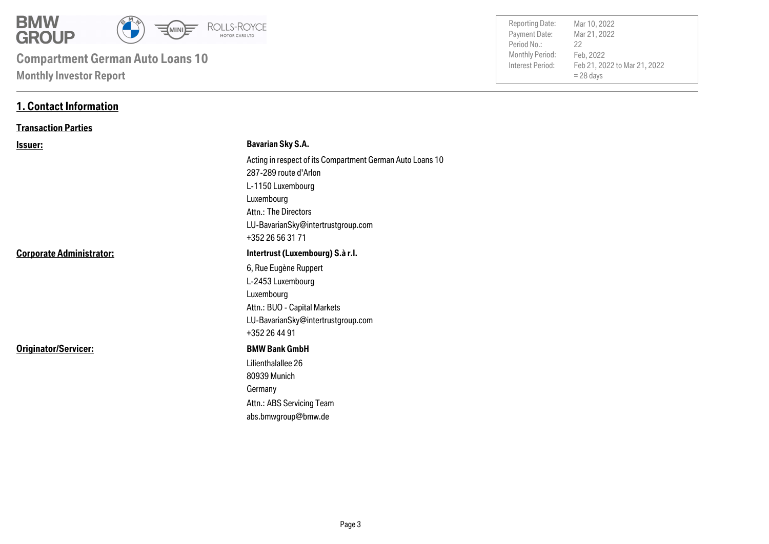

| <b>Reporting Date:</b> | Mar 10, 2022                 |
|------------------------|------------------------------|
| Payment Date:          | Mar 21, 2022                 |
| Period No.:            | 22                           |
| <b>Monthly Period:</b> | Feb, 2022                    |
| Interest Period:       | Feb 21, 2022 to Mar 21, 2022 |
|                        | $= 28$ days                  |
|                        |                              |

### **1. Contact Information**

### **Transaction Parties**

| <b>Issuer:</b>                  | <b>Bavarian Sky S.A.</b>                                  |
|---------------------------------|-----------------------------------------------------------|
|                                 | Acting in respect of its Compartment German Auto Loans 10 |
|                                 | 287-289 route d'Arlon                                     |
|                                 | L-1150 Luxembourg                                         |
|                                 | Luxembourg                                                |
|                                 | Attn.: The Directors                                      |
|                                 | LU-BavarianSky@intertrustgroup.com                        |
|                                 | +352 26 56 31 71                                          |
| <b>Corporate Administrator:</b> | Intertrust (Luxembourg) S.à r.l.                          |
|                                 | 6, Rue Eugène Ruppert                                     |
|                                 | L-2453 Luxembourg                                         |
|                                 | Luxembourg                                                |
|                                 | Attn.: BUO - Capital Markets                              |
|                                 | LU-BavarianSky@intertrustgroup.com                        |
|                                 | +352 26 44 91                                             |
| Originator/Servicer:            | <b>BMW Bank GmbH</b>                                      |
|                                 | Lilienthalallee 26                                        |
|                                 | 80939 Munich                                              |
|                                 | Germany                                                   |
|                                 | Attn.: ABS Servicing Team                                 |
|                                 | abs.bmwgroup@bmw.de                                       |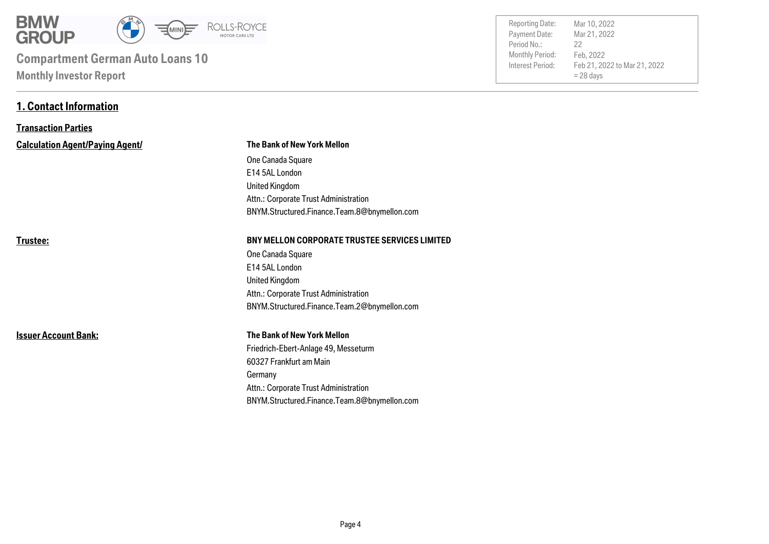

**1. Contact Information**

| <b>Reporting Date:</b> | Mar 10, 2022                 |
|------------------------|------------------------------|
| Payment Date:          | Mar 21, 2022                 |
| Period No.:            | 22                           |
| <b>Monthly Period:</b> | Feb, 2022                    |
| Interest Period:       | Feb 21, 2022 to Mar 21, 2022 |
|                        | $= 28$ days                  |
|                        |                              |

| <b>Transaction Parties</b>             |                                                      |
|----------------------------------------|------------------------------------------------------|
| <b>Calculation Agent/Paying Agent/</b> | <b>The Bank of New York Mellon</b>                   |
|                                        | One Canada Square                                    |
|                                        | E14 5AL London                                       |
|                                        | United Kingdom                                       |
|                                        | Attn.: Corporate Trust Administration                |
|                                        | BNYM.Structured.Finance.Team.8@bnymellon.com         |
| Trustee:                               | <b>BNY MELLON CORPORATE TRUSTEE SERVICES LIMITED</b> |
|                                        | One Canada Square                                    |
|                                        | E14 5AL London                                       |
|                                        | United Kingdom                                       |
|                                        | Attn.: Corporate Trust Administration                |
|                                        | BNYM.Structured.Finance.Team.2@bnymellon.com         |
| <b>Issuer Account Bank:</b>            | <b>The Bank of New York Mellon</b>                   |
|                                        | Friedrich-Ebert-Anlage 49, Messeturm                 |
|                                        | 60327 Frankfurt am Main                              |
|                                        | Germany                                              |
|                                        | Attn.: Corporate Trust Administration                |
|                                        | BNYM.Structured.Finance.Team.8@bnymellon.com         |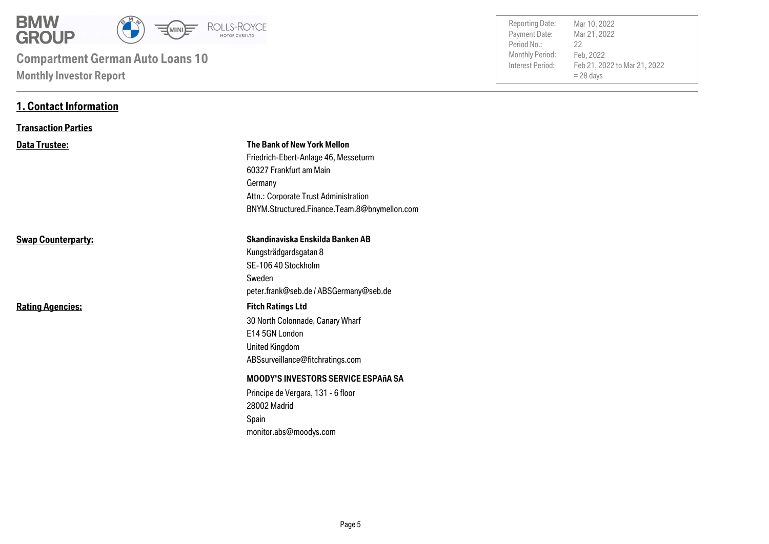

**1. Contact Information**

| <b>Reporting Date:</b><br>Payment Date:<br>Period No.:<br>Monthly Period:<br>Interest Period: | Mar 10, 2022<br>Mar 21, 2022<br>22<br>Feb, 2022<br>Feb 21, 2022 to Mar 21, 2022<br>$= 28$ days |  |
|-----------------------------------------------------------------------------------------------|------------------------------------------------------------------------------------------------|--|
|                                                                                               |                                                                                                |  |
|                                                                                               |                                                                                                |  |

| <b>Transaction Parties</b> |                                                                                                                                                                                                    |
|----------------------------|----------------------------------------------------------------------------------------------------------------------------------------------------------------------------------------------------|
| Data Trustee:              | The Bank of New York Mellon<br>Friedrich-Ebert-Anlage 46, Messeturm<br>60327 Frankfurt am Main<br>Germany<br>Attn.: Corporate Trust Administration<br>BNYM.Structured.Finance.Team.8@bnymellon.com |
| <b>Swap Counterparty:</b>  | Skandinaviska Enskilda Banken AB<br>Kungsträdgardsgatan 8<br>SE-106 40 Stockholm<br>Sweden<br>peter.frank@seb.de / ABSGermany@seb.de                                                               |
| <b>Rating Agencies:</b>    | <b>Fitch Ratings Ltd</b><br>30 North Colonnade, Canary Wharf<br>E14 5GN London<br>United Kingdom<br>ABSsurveillance@fitchratings.com                                                               |
|                            | <b>MOODY'S INVESTORS SERVICE ESPAñA SA</b><br>Principe de Vergara, 131 - 6 floor<br>28002 Madrid<br>Spain<br>monitor.abs@moodys.com                                                                |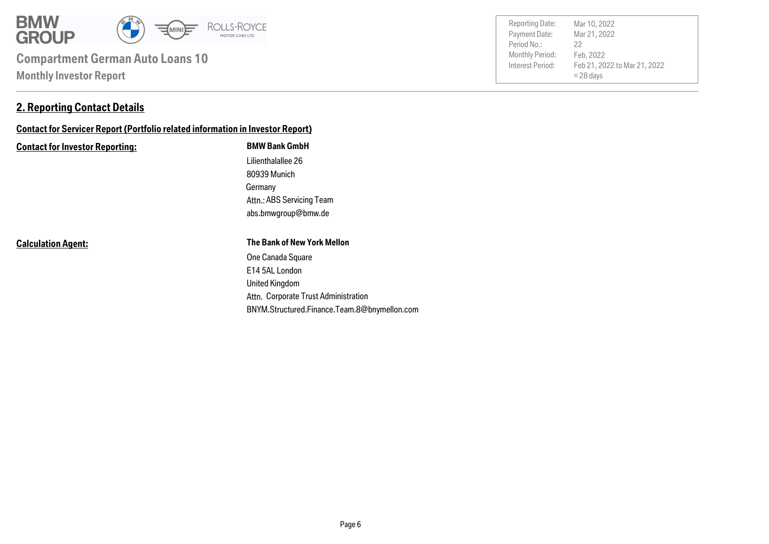

### **2. Reporting Contact Details**

### **Contact for Servicer Report (Portfolio related information in Investor Report)**

#### **Contact for Investor Reporting: BMW Bank GmbH**

Germany 80939 Munich Lilienthalallee 26 abs.bmwgroup@bmw.de Attn.: ABS Servicing Team

**Calculation Agent:**

#### **The Bank of New York Mellon**

Attn. Corporate Trust Administration United Kingdom E14 5AL London One Canada Square BNYM.Structured.Finance.Team.8@bnymellon.com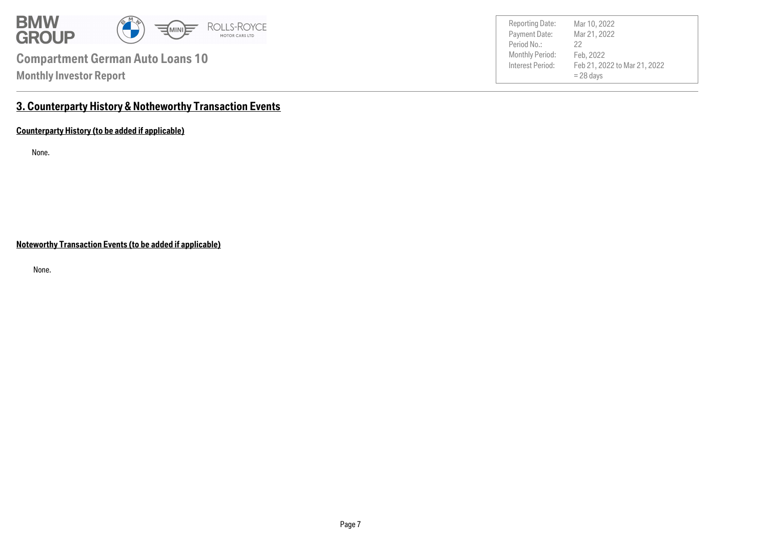

Payment Date: Period No.: Feb 21, 2022 to Mar 21, 2022  $= 28$  days Mar 21, 2022 Feb, 2022 22 Reporting Date: Mar 10, 2022

### **3. Counterparty History & Notheworthy Transaction Events**

**Counterparty History (to be added if applicable)**

None.

**Noteworthy Transaction Events (to be added if applicable)**

None.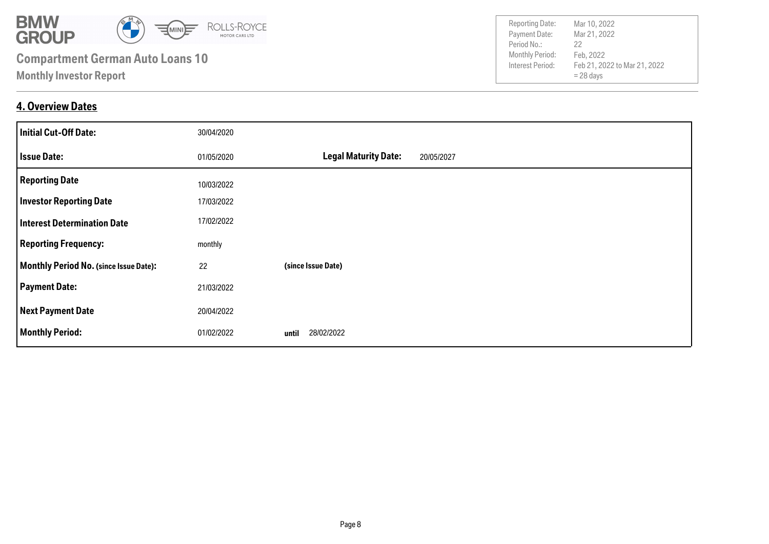

### **4. Overview Dates**

| <b>Initial Cut-Off Date:</b>           | 30/04/2020 |                                           |
|----------------------------------------|------------|-------------------------------------------|
| <b>Issue Date:</b>                     | 01/05/2020 | <b>Legal Maturity Date:</b><br>20/05/2027 |
| <b>Reporting Date</b>                  | 10/03/2022 |                                           |
| <b>Investor Reporting Date</b>         | 17/03/2022 |                                           |
| <b>Interest Determination Date</b>     | 17/02/2022 |                                           |
| <b>Reporting Frequency:</b>            | monthly    |                                           |
| Monthly Period No. (since Issue Date): | 22         | (since Issue Date)                        |
| <b>Payment Date:</b>                   | 21/03/2022 |                                           |
| <b>Next Payment Date</b>               | 20/04/2022 |                                           |
| <b>Monthly Period:</b>                 | 01/02/2022 | 28/02/2022<br>until                       |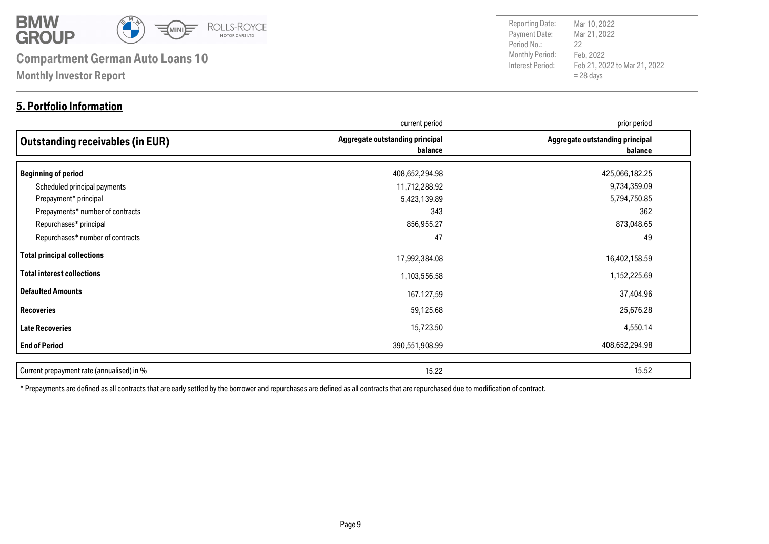

### **5. Portfolio Information**

Payment Date: Period No.: Feb 21, 2022 to Mar 21, 2022  $= 28$  days Mar 21, 2022 Feb, 2022 22 Reporting Date: Mar 10, 2022

|                                           | current period                             | prior period                               |
|-------------------------------------------|--------------------------------------------|--------------------------------------------|
| Outstanding receivables (in EUR)          | Aggregate outstanding principal<br>balance | Aggregate outstanding principal<br>balance |
| Beginning of period                       | 408,652,294.98                             | 425,066,182.25                             |
| Scheduled principal payments              | 11,712,288.92                              | 9,734,359.09                               |
| Prepayment* principal                     | 5,423,139.89                               | 5,794,750.85                               |
| Prepayments* number of contracts          | 343                                        | 362                                        |
| Repurchases* principal                    | 856,955.27                                 | 873,048.65                                 |
| Repurchases* number of contracts          | 47                                         | 49                                         |
| Total principal collections               | 17,992,384.08                              | 16,402,158.59                              |
| Total interest collections                | 1,103,556.58                               | 1,152,225.69                               |
| Defaulted Amounts                         | 167.127,59                                 | 37,404.96                                  |
| <b>Recoveries</b>                         | 59,125.68                                  | 25,676.28                                  |
| Late Recoveries                           | 15,723.50                                  | 4,550.14                                   |
| <b>End of Period</b>                      | 390,551,908.99                             | 408,652,294.98                             |
| Current prepayment rate (annualised) in % | 15.22                                      | 15.52                                      |

\* Prepayments are defined as all contracts that are early settled by the borrower and repurchases are defined as all contracts that are repurchased due to modification of contract.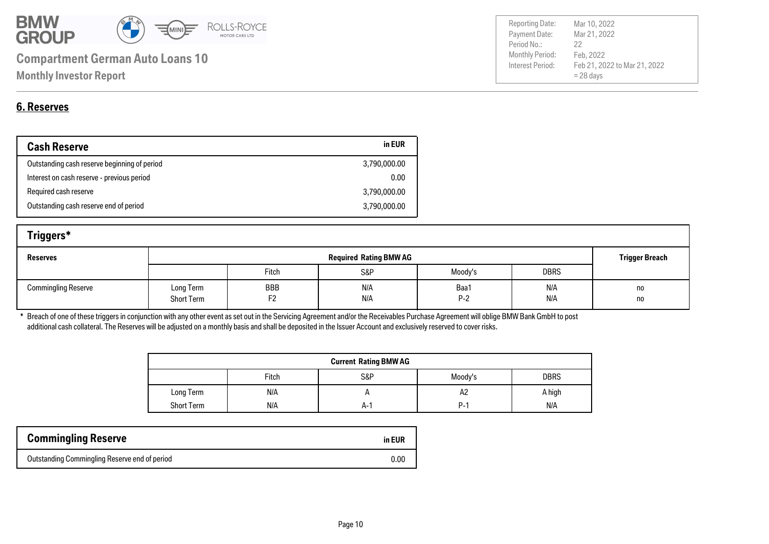

|             | Payment Date:          | Mar 21, 2022                 |
|-------------|------------------------|------------------------------|
| Period No.: |                        | 22                           |
|             | <b>Monthly Period:</b> | Feb, 2022                    |
|             | Interest Period:       | Feb 21, 2022 to Mar 21, 2022 |
|             |                        | $= 28$ days                  |
|             |                        |                              |

Reporting Date: Mar 10, 2022

### **6. Reserves**

| <b>Cash Reserve</b>                          | in EUR       |
|----------------------------------------------|--------------|
| Outstanding cash reserve beginning of period | 3,790,000.00 |
| Interest on cash reserve - previous period   | 0.00         |
| Required cash reserve                        | 3,790,000.00 |
| Outstanding cash reserve end of period       | 3,790,000.00 |

| Triggers*                  |                                |           |                               |               |             |                       |
|----------------------------|--------------------------------|-----------|-------------------------------|---------------|-------------|-----------------------|
| <b>Reserves</b>            |                                |           | <b>Required Rating BMW AG</b> |               |             | <b>Trigger Breach</b> |
|                            |                                | Fitch     | S&P                           | Moody's       | <b>DBRS</b> |                       |
| <b>Commingling Reserve</b> | Long Term<br><b>Short Term</b> | BBB<br>F2 | N/A<br>N/A                    | Baa1<br>$P-2$ | N/A<br>N/A  | no<br>no              |

\* Breach of one of these triggers in conjunction with any other event as set out in the Servicing Agreement and/or the Receivables Purchase Agreement will oblige BMW Bank GmbH to post additional cash collateral. The Reserves will be adjusted on a monthly basis and shall be deposited in the Issuer Account and exclusively reserved to cover risks.

| <b>Current Rating BMW AG</b> |       |     |            |             |
|------------------------------|-------|-----|------------|-------------|
|                              | Fitch | S&P | Moody's    | <b>DBRS</b> |
| Long Term                    | N/A   |     | A2         | A high      |
| <b>Short Term</b>            | N/A   | A-' | <b>P-1</b> | N/A         |

| <b>Commingling Reserve</b>                    | in EUR |
|-----------------------------------------------|--------|
| Outstanding Commingling Reserve end of period | 0.00   |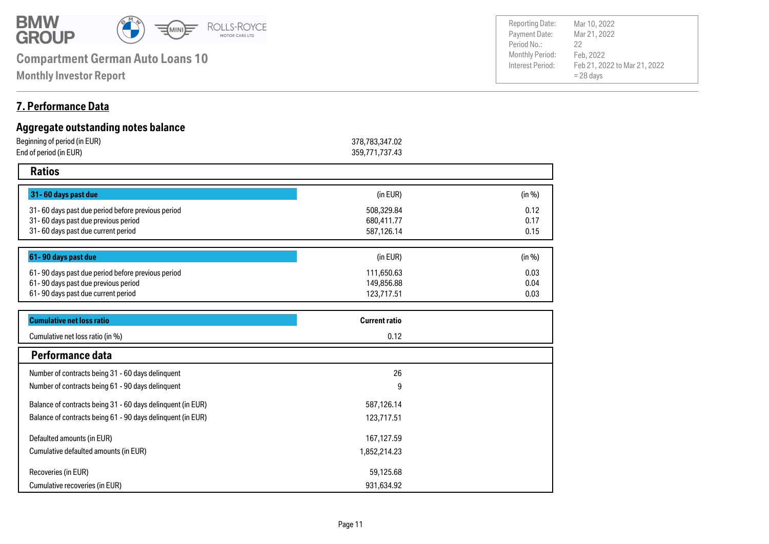

**Monthly Investor Report**

#### Payment Date: Period No.: Feb 21, 2022 to Mar 21, 2022  $= 28$  days Mar 21, 2022 Feb, 2022 22

Reporting Date: Mar 10, 2022

### **7. Performance Data**

| Aggregate outstanding notes balance                         |                      |        |
|-------------------------------------------------------------|----------------------|--------|
| Beginning of period (in EUR)                                | 378,783,347.02       |        |
| End of period (in EUR)                                      | 359,771,737.43       |        |
| <b>Ratios</b>                                               |                      |        |
| 31-60 days past due                                         | (in EUR)             | (in %) |
| 31-60 days past due period before previous period           | 508,329.84           | 0.12   |
| 31-60 days past due previous period                         | 680,411.77           | 0.17   |
| 31-60 days past due current period                          | 587,126.14           | 0.15   |
| 61-90 days past due                                         | (in EUR)             | (in %) |
| 61-90 days past due period before previous period           | 111,650.63           | 0.03   |
| 61-90 days past due previous period                         | 149,856.88           | 0.04   |
| 61-90 days past due current period                          | 123,717.51           | 0.03   |
| <b>Cumulative net loss ratio</b>                            | <b>Current ratio</b> |        |
| Cumulative net loss ratio (in %)                            | 0.12                 |        |
| Performance data                                            |                      |        |
| Number of contracts being 31 - 60 days delinquent           | 26                   |        |
| Number of contracts being 61 - 90 days delinquent           | 9                    |        |
| Balance of contracts being 31 - 60 days delinquent (in EUR) | 587,126.14           |        |
| Balance of contracts being 61 - 90 days delinquent (in EUR) | 123,717.51           |        |
| Defaulted amounts (in EUR)                                  | 167,127.59           |        |
| Cumulative defaulted amounts (in EUR)                       | 1,852,214.23         |        |
| Recoveries (in EUR)                                         | 59,125.68            |        |
| Cumulative recoveries (in EUR)                              | 931,634.92           |        |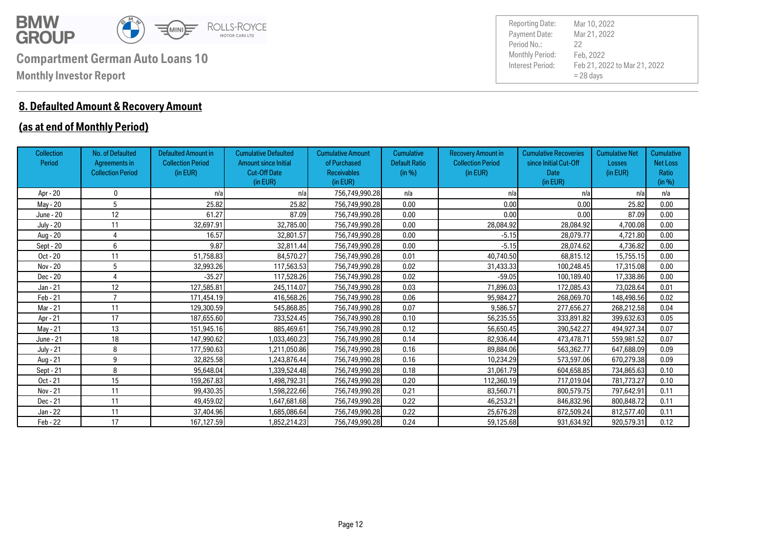

### **8. Defaulted Amount & Recovery Amount**

### **(as at end of Monthly Period)**

| <b>Collection</b><br>Period | No. of Defaulted<br>Agreements in<br><b>Collection Period</b> | <b>Defaulted Amount in</b><br><b>Collection Period</b><br>(in EUR) | <b>Cumulative Defaulted</b><br><b>Amount since Initial</b><br><b>Cut-Off Date</b><br>(in EUR) | <b>Cumulative Amount</b><br>of Purchased<br><b>Receivables</b><br>(in EUR) | <b>Cumulative</b><br><b>Default Ratio</b><br>(in %) | <b>Recovery Amount in</b><br><b>Collection Period</b><br>(in EUR) | <b>Cumulative Recoveries</b><br>since Initial Cut-Off<br><b>Date</b><br>(in EUR) | <b>Cumulative Net</b><br>Losses<br>(in EUR) | <b>Cumulative</b><br><b>Net Loss</b><br>Ratio<br>(in %) |
|-----------------------------|---------------------------------------------------------------|--------------------------------------------------------------------|-----------------------------------------------------------------------------------------------|----------------------------------------------------------------------------|-----------------------------------------------------|-------------------------------------------------------------------|----------------------------------------------------------------------------------|---------------------------------------------|---------------------------------------------------------|
| Apr - 20                    | 0                                                             | n/a                                                                | n/a                                                                                           | 756,749,990.28                                                             | n/a                                                 | n/a                                                               | n/a                                                                              | n/a                                         | n/a                                                     |
| May - 20                    | 5                                                             | 25.82                                                              | 25.82                                                                                         | 756,749,990.28                                                             | 0.00                                                | 0.00                                                              | 0.00                                                                             | 25.82                                       | 0.00                                                    |
| June - 20                   | 12                                                            | 61.27                                                              | 87.09                                                                                         | 756,749,990.28                                                             | 0.00                                                | 0.00                                                              | 0.00                                                                             | 87.09                                       | 0.00                                                    |
| <b>July - 20</b>            | 11                                                            | 32,697.91                                                          | 32,785.00                                                                                     | 756,749,990.28                                                             | 0.00                                                | 28,084.92                                                         | 28,084.92                                                                        | 4,700.08                                    | 0.00                                                    |
| Aug - 20                    | 4                                                             | 16.57                                                              | 32,801.57                                                                                     | 756,749,990.28                                                             | 0.00                                                | $-5.15$                                                           | 28.079.77                                                                        | 4,721.80                                    | 0.00                                                    |
| Sept - 20                   | 6                                                             | 9.87                                                               | 32,811.44                                                                                     | 756,749,990.28                                                             | 0.00                                                | $-5.15$                                                           | 28,074.62                                                                        | 4,736.82                                    | 0.00                                                    |
| Oct - 20                    | 11                                                            | 51,758.83                                                          | 84,570.27                                                                                     | 756,749,990.28                                                             | 0.01                                                | 40,740.50                                                         | 68,815.12                                                                        | 15,755.15                                   | 0.00                                                    |
| Nov - 20                    | 5                                                             | 32,993.26                                                          | 117,563.53                                                                                    | 756,749,990.28                                                             | 0.02                                                | 31,433.33                                                         | 100,248.45                                                                       | 17.315.08                                   | 0.00                                                    |
| Dec - 20                    |                                                               | $-35.27$                                                           | 117,528.26                                                                                    | 756,749,990.28                                                             | 0.02                                                | $-59.05$                                                          | 100,189.40                                                                       | 17,338.86                                   | 0.00                                                    |
| Jan - 21                    | 12                                                            | 127,585.81                                                         | 245,114.07                                                                                    | 756,749,990.28                                                             | 0.03                                                | 71,896.03                                                         | 172,085.43                                                                       | 73,028.64                                   | 0.01                                                    |
| Feb - 21                    | $\overline{ }$                                                | 171,454.19                                                         | 416,568.26                                                                                    | 756,749,990.28                                                             | 0.06                                                | 95.984.27                                                         | 268,069.70                                                                       | 148,498.56                                  | 0.02                                                    |
| Mar - 21                    | 11                                                            | 129,300.59                                                         | 545,868.85                                                                                    | 756,749,990.28                                                             | 0.07                                                | 9.586.57                                                          | 277,656.27                                                                       | 268,212.58                                  | 0.04                                                    |
| Apr - 21                    | 17                                                            | 187,655.60                                                         | 733,524.45                                                                                    | 756,749,990.28                                                             | 0.10                                                | 56,235.55                                                         | 333,891.82                                                                       | 399,632.63                                  | 0.05                                                    |
| May - 21                    | 13                                                            | 151,945.16                                                         | 885,469.61                                                                                    | 756,749,990.28                                                             | 0.12                                                | 56,650.45                                                         | 390,542.27                                                                       | 494,927.34                                  | 0.07                                                    |
| June - 21                   | 18                                                            | 147,990.62                                                         | 1,033,460.23                                                                                  | 756,749,990.28                                                             | 0.14                                                | 82,936.44                                                         | 473,478.71                                                                       | 559,981.52                                  | 0.07                                                    |
| <b>July - 21</b>            | 8                                                             | 177,590.63                                                         | 1,211,050.86                                                                                  | 756,749,990.28                                                             | 0.16                                                | 89.884.06                                                         | 563.362.77                                                                       | 647,688.09                                  | 0.09                                                    |
| Aug - 21                    | 9                                                             | 32,825.58                                                          | 1,243,876.44                                                                                  | 756,749,990.28                                                             | 0.16                                                | 10,234.29                                                         | 573,597.06                                                                       | 670,279.38                                  | 0.09                                                    |
| Sept - 21                   | 8                                                             | 95,648.04                                                          | 1,339,524.48                                                                                  | 756,749,990.28                                                             | 0.18                                                | 31,061.79                                                         | 604.658.85                                                                       | 734,865.63                                  | 0.10                                                    |
| Oct - 21                    | 15                                                            | 159,267.83                                                         | 1,498,792.31                                                                                  | 756,749,990.28                                                             | 0.20                                                | 112,360.19                                                        | 717,019.04                                                                       | 781,773.27                                  | 0.10                                                    |
| Nov - 21                    | 11                                                            | 99,430.35                                                          | 1,598,222.66                                                                                  | 756,749,990.28                                                             | 0.21                                                | 83,560.71                                                         | 800,579.75                                                                       | 797,642.91                                  | 0.11                                                    |
| Dec - 21                    | 11                                                            | 49,459.02                                                          | 1,647,681.68                                                                                  | 756,749,990.28                                                             | 0.22                                                | 46,253.21                                                         | 846,832.96                                                                       | 800,848.72                                  | 0.11                                                    |
| Jan - 22                    | 11                                                            | 37,404.96                                                          | 1,685,086.64                                                                                  | 756,749,990.28                                                             | 0.22                                                | 25,676.28                                                         | 872,509.24                                                                       | 812,577.40                                  | 0.11                                                    |
| Feb - 22                    | 17                                                            | 167,127.59                                                         | 1,852,214.23                                                                                  | 756,749,990.28                                                             | 0.24                                                | 59,125.68                                                         | 931,634.92                                                                       | 920,579.31                                  | 0.12                                                    |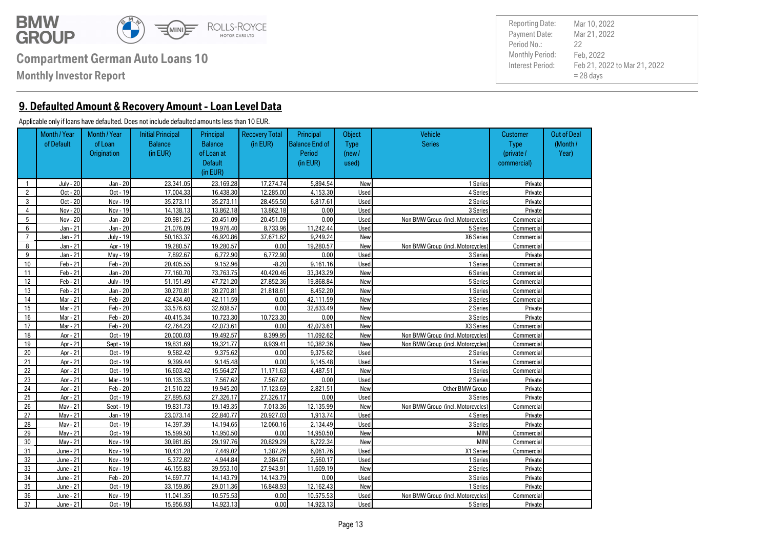

**Monthly Investor Report**

**9. Defaulted Amount & Recovery Amount - Loan Level Data**

#### Applicable only if loans have defaulted. Does not include defaulted amounts less than 10 EUR.

|                | Month / Year<br>of Default | Month / Year<br>of Loan<br>Origination | <b>Initial Principal</b><br><b>Balance</b><br>(in EUR) | Principal<br><b>Balance</b><br>of Loan at<br><b>Default</b><br>(in EUR) | <b>Recovery Total</b><br>(in EUR) | Principal<br><b>Balance End of</b><br>Period<br>(in EUR) | <b>Object</b><br><b>Type</b><br>(new /<br>used) | Vehicle<br><b>Series</b>          | <b>Customer</b><br><b>Type</b><br>(private /<br>commercial) | <b>Out of Deal</b><br>(Month/<br>Year) |
|----------------|----------------------------|----------------------------------------|--------------------------------------------------------|-------------------------------------------------------------------------|-----------------------------------|----------------------------------------------------------|-------------------------------------------------|-----------------------------------|-------------------------------------------------------------|----------------------------------------|
| $\mathbf{1}$   | July - 20                  | Jan - 20                               | 23.341.05                                              | 23.169.28                                                               | 17.274.74                         | 5.894.54                                                 | New                                             | 1 Series                          | Private                                                     |                                        |
| $\overline{2}$ | Oct - 20                   | Oct - 19                               | 17.004.33                                              | 16.438.30                                                               | 12.285.00                         | 4.153.30                                                 | Used                                            | 4 Series                          | Private                                                     |                                        |
| 3              | Oct - 20                   | Nov - 19                               | 35.273.11                                              | 35.273.11                                                               | 28.455.50                         | 6.817.61                                                 | Used                                            | 2 Series                          | Private                                                     |                                        |
| $\overline{4}$ | Nov - 20                   | Nov - 19                               | 14.138.13                                              | 13.862.18                                                               | 13.862.18                         | 0.00                                                     | Used                                            | 3 Series                          | Private                                                     |                                        |
| 5              | Nov - 20                   | Jan - 20                               | 20.981.25                                              | 20.451.09                                                               | 20.451.09                         | 0.00                                                     | Used                                            | Non BMW Group (incl. Motorcycles) | Commercial                                                  |                                        |
| 6              | Jan - 21                   | Jan - 20                               | 21.076.09                                              | 19.976.40                                                               | 8.733.96                          | 11.242.44                                                | Used                                            | 5 Series                          | Commercial                                                  |                                        |
| $\overline{7}$ | Jan - 21                   | July - 19                              | 50.163.37                                              | 46.920.86                                                               | 37.671.62                         | 9.249.24                                                 | New                                             | X6 Series                         | Commercial                                                  |                                        |
| 8              | Jan - 21                   | Apr - 19                               | 19.280.57                                              | 19.280.57                                                               | 0.00                              | 19.280.57                                                | New                                             | Non BMW Group (incl. Motorcycles) | Commercial                                                  |                                        |
| 9              | Jan - 21                   | Mav - 19                               | 7.892.67                                               | 6.772.90                                                                | 6.772.90                          | 0.00                                                     | Used                                            | 3 Series                          | Private                                                     |                                        |
| 10             | Feb - 21                   | $Feb - 20$                             | 20.405.55                                              | 9.152.96                                                                | $-8.20$                           | 9.161.16                                                 | Used                                            | 1 Series                          | Commercial                                                  |                                        |
| 11             | Feb - 21                   | Jan - 20                               | 77.160.70                                              | 73.763.75                                                               | 40.420.46                         | 33.343.29                                                | New                                             | 6 Series                          | Commercial                                                  |                                        |
| 12             | Feb - 21                   | July - 19                              | 51.151.49                                              | 47.721.20                                                               | 27.852.36                         | 19.868.84                                                | New                                             | 5 Series                          | Commercial                                                  |                                        |
| 13             | Feb - 21                   | Jan - 20                               | 30.270.81                                              | 30.270.81                                                               | 21.818.61                         | 8.452.20                                                 | New                                             | 1 Series                          | Commercial                                                  |                                        |
| 14             | Mar - 21                   | $Feb - 20$                             | 42.434.40                                              | 42.111.59                                                               | 0.00                              | 42.111.59                                                | New                                             | 3 Series                          | Commercial                                                  |                                        |
| 15             | Mar - 21                   | $Feb - 20$                             | 33.576.63                                              | 32.608.57                                                               | 0.00                              | 32.633.49                                                | New                                             | 2 Series                          | Private                                                     |                                        |
| 16             | Mar - 21                   | $Feb - 20$                             | 40.415.34                                              | 10.723.30                                                               | 10.723.30                         | 0.00                                                     | New                                             | 3 Series                          | Private                                                     |                                        |
| 17             | Mar - 21                   | Feb - 20                               | 42.764.23                                              | 42.073.61                                                               | 0.00                              | 42.073.61                                                | New                                             | X3 Series                         | Commercial                                                  |                                        |
| 18             | Apr - 21                   | Oct - 19                               | 20.000.03                                              | 19.492.57                                                               | 8.399.95                          | 11.092.62                                                | New                                             | Non BMW Group (incl. Motorcycles) | Commercial                                                  |                                        |
| 19             | Apr - 21                   | Sept - 19                              | 19.831.69                                              | 19.321.77                                                               | 8.939.41                          | 10.382.36                                                | New                                             | Non BMW Group (incl. Motorcycles) | Commercial                                                  |                                        |
| 20             | Apr - 21                   | $Oct - 19$                             | 9.582.42                                               | 9.375.62                                                                | 0.00                              | 9.375.62                                                 | Used                                            | 2 Series                          | Commercial                                                  |                                        |
| 21             | Apr - 21                   | Oct - 19                               | 9.399.44                                               | 9.145.48                                                                | 0.00                              | 9.145.48                                                 | Used                                            | 1 Series                          | Commercial                                                  |                                        |
| 22             | Apr - 21                   | Oct - 19                               | 16.603.42                                              | 15.564.27                                                               | 11.171.63                         | 4.487.51                                                 | New                                             | 1 Series                          | Commercial                                                  |                                        |
| 23             | Apr - 21                   | Mar - 19                               | 10.135.33                                              | 7.567.62                                                                | 7.567.62                          | 0.00                                                     | Used                                            | 2 Series                          | Private                                                     |                                        |
| 24             | Apr - 21                   | $Feb - 20$                             | 21.510.22                                              | 19.945.20                                                               | 17.123.69                         | 2.821.51                                                 | New                                             | Other BMW Group                   | Private                                                     |                                        |
| 25             | Apr - 21                   | Oct - 19                               | 27.895.63                                              | 27.326.17                                                               | 27.326.17                         | 0.00                                                     | Used                                            | 3 Series                          | Private                                                     |                                        |
| 26             | Mav - 21                   | Sept - 19                              | 19.831.73                                              | 19.149.35                                                               | 7.013.36                          | 12.135.99                                                | New                                             | Non BMW Group (incl. Motorcycles) | Commercial                                                  |                                        |
| 27             | Mav - 21                   | Jan - 19                               | 23.073.14                                              | 22.840.77                                                               | 20.927.03                         | 1.913.74                                                 | <b>Used</b>                                     | 4 Series                          | Private                                                     |                                        |
| 28             | Mav - 21                   | $Oct - 19$                             | 14.397.39                                              | 14.194.65                                                               | 12.060.16                         | 2.134.49                                                 | Used                                            | 3 Series                          | Private                                                     |                                        |
| 29             | Mav - 21                   | Oct - 19                               | 15.599.50                                              | 14.950.50                                                               | 0.00                              | 14.950.50                                                | New                                             | <b>MIN</b>                        | Commercial                                                  |                                        |
| 30             | Mav - 21                   | Nov - 19                               | 30.981.85                                              | 29.197.76                                                               | 20.829.29                         | 8.722.34                                                 | New                                             | <b>MINI</b>                       | Commercial                                                  |                                        |
| 31             | June - 21                  | Nov - 19                               | 10.431.28                                              | 7.449.02                                                                | 1.387.26                          | 6.061.76                                                 | Used                                            | X1 Series                         | Commercial                                                  |                                        |
| 32             | June - 21                  | Nov - 19                               | 5.372.82                                               | 4.944.84                                                                | 2.384.67                          | 2.560.17                                                 | Used                                            | 1 Series                          | Private                                                     |                                        |
| 33             | June - 21                  | Nov - 19                               | 46.155.83                                              | 39.553.10                                                               | 27.943.91                         | 11.609.19                                                | New                                             | 2 Series                          | Private                                                     |                                        |
| 34             | June - 21                  | $Feb - 20$                             | 14.697.77                                              | 14.143.79                                                               | 14.143.79                         | 0.00                                                     | Used                                            | 3 Series                          | Private                                                     |                                        |
| 35             | June - 21                  | Oct - 19                               | 33.159.86                                              | 29.011.36                                                               | 16.848.93                         | 12.162.43                                                | New                                             | 1 Series                          | Private                                                     |                                        |
| 36             | June - 21                  | Nov - 19                               | 11.041.35                                              | 10.575.53                                                               | 0.00                              | 10.575.53                                                | Used                                            | Non BMW Group (incl. Motorcycles) | Commercial                                                  |                                        |
| 37             | June - 21                  | Oct - 19                               | 15.956.93                                              | 14.923.13                                                               | 0.00                              | 14.923.13                                                | <b>Used</b>                                     | 5 Series                          | Private                                                     |                                        |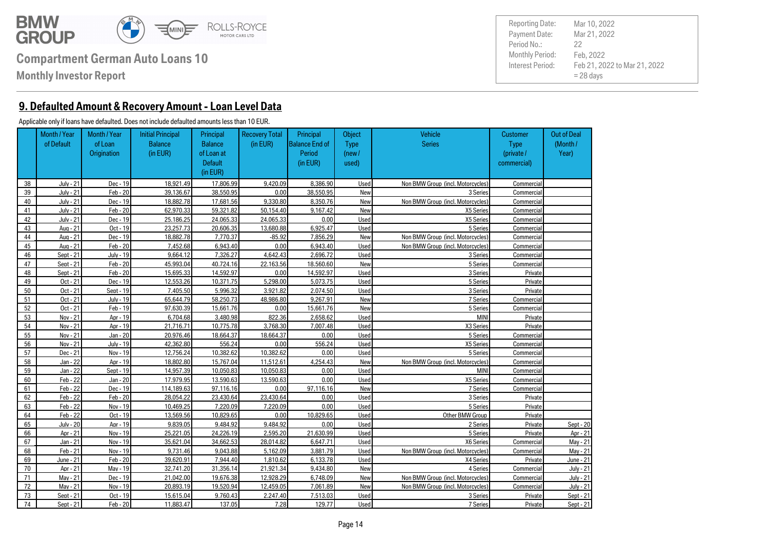

**Monthly Investor Report**

**9. Defaulted Amount & Recovery Amount - Loan Level Data**

#### Applicable only if loans have defaulted. Does not include defaulted amounts less than 10 EUR.

|    | Month / Year     | Month / Year     | <b>Initial Principal</b> | Principal      | <b>Recovery Total</b> | Principal             | Object      | <b>Vehicle</b>                    | <b>Customer</b> | <b>Out of Deal</b> |
|----|------------------|------------------|--------------------------|----------------|-----------------------|-----------------------|-------------|-----------------------------------|-----------------|--------------------|
|    | of Default       | of Loan          | <b>Balance</b>           | <b>Balance</b> | (in EUR)              | <b>Balance End of</b> | <b>Type</b> | <b>Series</b>                     | <b>Type</b>     | (Month/            |
|    |                  | Origination      | (in EUR)                 | of Loan at     |                       | Period                | (new /      |                                   | (private /      | Year)              |
|    |                  |                  |                          | <b>Default</b> |                       | (in EUR)              | used)       |                                   | commercial)     |                    |
|    |                  |                  |                          | (in EUR)       |                       |                       |             |                                   |                 |                    |
| 38 | July - 21        | Dec - 19         | 18.921.49                | 17.806.99      | 9.420.09              | 8.386.90              | Used        | Non BMW Group (incl. Motorcycles) | Commercial      |                    |
| 39 | July - 21        | Feb - 20         | 39.136.67                | 38.550.95      | 0.00                  | 38.550.95             | New         | 3 Series                          | Commercial      |                    |
| 40 | July - 21        | Dec - 19         | 18,882.78                | 17.681.56      | 9.330.80              | 8.350.76              | New         | Non BMW Group (incl. Motorcycles) | Commercial      |                    |
| 41 | July - 21        | Feb - 20         | 62.970.33                | 59.321.82      | 50.154.40             | 9.167.42              | New         | X5 Series                         | Commercial      |                    |
| 42 | July - 21        | Dec - 19         | 25.186.25                | 24.065.33      | 24.065.33             | 0.00                  | Used        | X5 Series                         | Commercial      |                    |
| 43 | Aua - 21         | Oct - 19         | 23.257.73                | 20.606.35      | 13.680.88             | 6.925.47              | Used        | 5 Series                          | Commercial      |                    |
| 44 | Aug - 21         | Dec - 19         | 18,882.78                | 7.770.37       | $-85.92$              | 7.856.29              | New         | Non BMW Group (incl. Motorcycles) | Commercial      |                    |
| 45 | Aua - 21         | Feb - 20         | 7.452.68                 | 6.943.40       | 0.00                  | 6.943.40              | Used        | Non BMW Group (incl. Motorcycles) | Commercial      |                    |
| 46 | Sept - 21        | July - 19        | 9.664.12                 | 7.326.27       | 4.642.43              | 2.696.72              | Used        | 3 Series                          | Commercial      |                    |
| 47 | Sept - 21        | Feb - 20         | 45.993.04                | 40.724.16      | 22.163.56             | 18.560.60             | New         | 5 Series                          | Commercial      |                    |
| 48 | Sept - 21        | Feb - 20         | 15.695.33                | 14.592.97      | 0.00                  | 14.592.97             | Used        | 3 Series                          | Private         |                    |
| 49 | Oct - 21         | Dec - 19         | 12.553.26                | 10.371.75      | 5.298.00              | 5.073.75              | Used        | 5 Series                          | Private         |                    |
| 50 | Oct - 21         | Sept - 19        | 7.405.50                 | 5.996.32       | 3.921.82              | 2.074.50              | Used        | 3 Series                          | Private         |                    |
| 51 | Oct - 21         | <b>July - 19</b> | 65.644.79                | 58.250.73      | 48.986.80             | 9.267.91              | New         | 7 Series                          | Commercial      |                    |
| 52 | Oct - 21         | Feb - 19         | 97.630.39                | 15.661.76      | 0.00                  | 15.661.76             | New         | 5 Series                          | Commercial      |                    |
| 53 | Nov - 21         | Apr - 19         | 6.704.68                 | 3.480.98       | 822.36                | 2.658.62              | Used        | <b>MINI</b>                       | Private         |                    |
| 54 | Nov - 21         | Apr - 19         | 21.716.71                | 10.775.78      | 3.768.30              | 7.007.48              | Used        | X3 Series                         | Private         |                    |
| 55 | Nov - 21         | Jan - 20         | 20.976.46                | 18.664.37      | 18.664.37             | 0.00                  | Used        | 5 Series                          | Commercial      |                    |
| 56 | Nov - 21         | July - 19        | 42.362.80                | 556.24         | 0.00                  | 556.24                | Used        | X5 Series                         | Commercial      |                    |
| 57 | Dec - 21         | Nov - 19         | 12.756.24                | 10.382.62      | 10.382.62             | 0.00                  | Used        | 5 Series                          | Commercial      |                    |
| 58 | Jan - 22         | Apr - 19         | 18.802.80                | 15.767.04      | 11.512.61             | 4.254.43              | New         | Non BMW Group (incl. Motorcycles) | Commercial      |                    |
| 59 | Jan - 22         | Sept - 19        | 14.957.39                | 10.050.83      | 10.050.83             | 0.00                  | Used        | <b>MINI</b>                       | Commercial      |                    |
| 60 | Feb - 22         | Jan - 20         | 17.979.95                | 13.590.63      | 13.590.63             | 0.00                  | Used        | X5 Series                         | Commercial      |                    |
| 61 | Feb - 22         | Dec - 19         | 114.189.63               | 97.116.16      | 0.00                  | 97.116.16             | New         | 7 Series                          | Commercial      |                    |
| 62 | Feb - 22         | $Feb - 20$       | 28.054.22                | 23.430.64      | 23.430.64             | 0.00                  | Used        | 3 Series                          | Private         |                    |
| 63 | Feb - 22         | Nov - 19         | 10.469.25                | 7.220.09       | 7.220.09              | 0.00                  | Used        | 5 Series                          | Private         |                    |
| 64 | Feb - 22         | Oct - 19         | 13.569.56                | 10.829.65      | 0.00                  | 10.829.65             | Used        | Other BMW Group                   | Private         |                    |
| 65 | <b>July - 20</b> | Apr - 19         | 9.839.05                 | 9.484.92       | 9.484.92              | 0.00                  | Used        | 2 Series                          | Private         | Sept - 20          |
| 66 | Apr - 21         | Nov - 19         | 25.221.05                | 24.226.19      | 2.595.20              | 21.630.99             | Used        | 5 Series                          | Private         | Apr - 21           |
| 67 | Jan - 21         | Nov - 19         | 35.621.04                | 34.662.53      | 28.014.82             | 6.647.71              | Used        | X6 Series                         | Commercial      | May - 21           |
| 68 | Feb - 21         | Nov - 19         | 9.731.46                 | 9.043.88       | 5.162.09              | 3.881.79              | Used        | Non BMW Group (incl. Motorcycles) | Commercial      | May - 21           |
| 69 | June - 21        | Feb - 20         | 39.620.91                | 7.944.40       | 1.810.62              | 6.133.78              | Used        | X4 Series                         | Private         | June - 21          |
| 70 | Apr - 21         | Mav - 19         | 32.741.20                | 31.356.14      | 21.921.34             | 9.434.80              | New         | 4 Series                          | Commercial      | <b>July - 21</b>   |
| 71 | Mav - 21         | Dec - 19         | 21.042.00                | 19.676.38      | 12.928.29             | 6.748.09              | New         | Non BMW Group (incl. Motorcycles) | Commercial      | July - 21          |
| 72 | Mav - 21         | Nov - 19         | 20.893.19                | 19.520.94      | 12.459.05             | 7.061.89              | New         | Non BMW Group (incl. Motorcycles) | Commercial      | July - 21          |
| 73 | Sept - 21        | Oct - 19         | 15.615.04                | 9.760.43       | 2.247.40              | 7.513.03              | Used        | 3 Series                          | Private         | Sept - 21          |
| 74 | Sept - 21        | Feb - 20         | 11.883.47                | 137.05         | 7.28                  | 129.77                | Used        | 7 Series                          | Private         | Sept - 21          |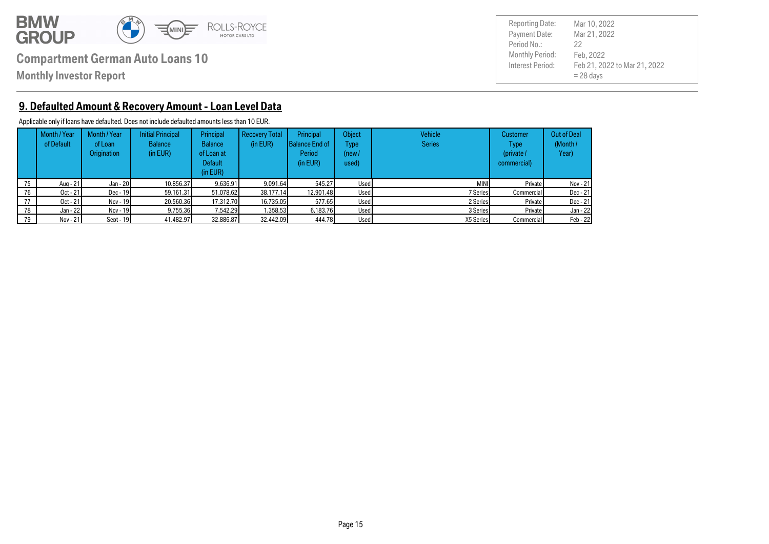

**Monthly Investor Report**

Payment Date: Period No.: Feb 21, 2022 to Mar 21, 2022  $= 28$  days Mar 21, 2022 Feb, 2022 22 Reporting Date: Mar 10, 2022

### **9. Defaulted Amount & Recovery Amount - Loan Level Data**

Applicable only if loans have defaulted. Does not include defaulted amounts less than 10 EUR.

|    | Month / Year<br>of Default | Month / Year<br>of Loan<br><b>Origination</b> | <b>Initial Principal</b><br><b>Balance</b><br>(in EUR) | Principal<br><b>Balance</b><br>of Loan at<br>Default<br>(in EUR) | <b>Recovery Total</b><br>(in EUR) | <b>Principal</b><br>Balance End of<br>Period<br>(in EUR) | <b>Object</b><br>Type<br>(new /<br>used) | Vehicle<br><b>Series</b> | <b>Customer</b><br><b>Type</b><br>(private /<br>commercial) | <b>Out of Deal</b><br>(Month/<br>Year) |
|----|----------------------------|-----------------------------------------------|--------------------------------------------------------|------------------------------------------------------------------|-----------------------------------|----------------------------------------------------------|------------------------------------------|--------------------------|-------------------------------------------------------------|----------------------------------------|
| 75 | Aug - 21                   | Jan - 20                                      | 10.856.37                                              | 9.636.91                                                         | 9.091.64                          | 545.27                                                   | Used                                     | <b>MINI</b>              | Private                                                     | Nov - 21                               |
| 76 | Oct - 21                   | $Dec - 19$                                    | 59.161.31                                              | 51.078.62                                                        | 38.177.14                         | 12.901.48                                                | Used                                     | 7 Series                 | <b>Commercial</b>                                           | Dec - 21                               |
| 77 | $Oct - 21$                 | Nov - 19                                      | 20.560.36                                              | 17.312.70                                                        | 16,735,05                         | 577.65                                                   | Used                                     | 2 Series                 | Private                                                     | $Dec - 21$                             |
| 78 | Jan - 22                   | Nov - 19                                      | 9.755.36                                               | 7.542.29                                                         | 1.358.53                          | 6.183.76                                                 | Used                                     | 3 Series                 | Private                                                     | Jan - 22                               |
| 79 | Nov - 21                   | Sept - $19$                                   | 41.482.97                                              | 32,886,87                                                        | 32.442.09                         | 444.78                                                   | Used                                     | X5 Series                | Commercial                                                  | Feb - 22                               |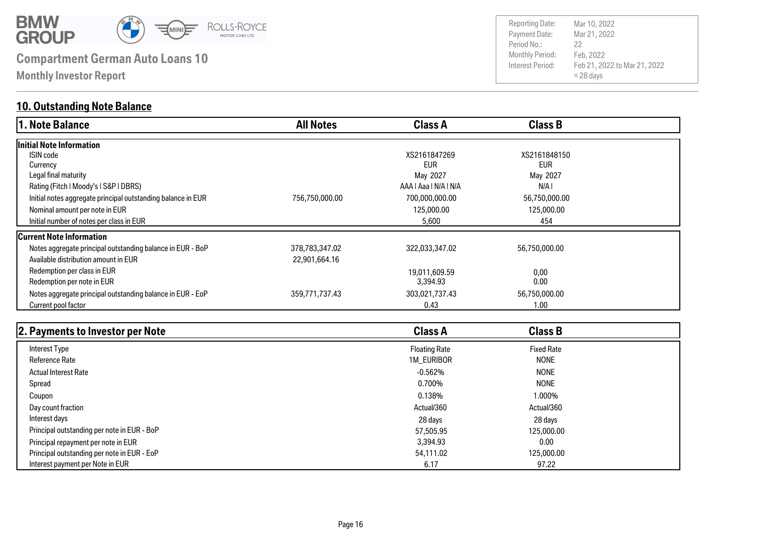

**Monthly Investor Report**

### **10. Outstanding Note Balance**

| 1. Note Balance                                              | <b>All Notes</b> | <b>Class A</b>        | <b>Class B</b> |  |
|--------------------------------------------------------------|------------------|-----------------------|----------------|--|
| Initial Note Information                                     |                  |                       |                |  |
| ISIN code                                                    |                  | XS2161847269          | XS2161848150   |  |
| Currency                                                     |                  | <b>EUR</b>            | <b>EUR</b>     |  |
| Legal final maturity                                         |                  | May 2027              | May 2027       |  |
| Rating (Fitch   Moody's   S&P   DBRS)                        |                  | AAA   Aaa   N/A   N/A | N/A I          |  |
| Initial notes aggregate principal outstanding balance in EUR | 756,750,000.00   | 700,000,000.00        | 56,750,000.00  |  |
| Nominal amount per note in EUR                               |                  | 125,000.00            | 125,000.00     |  |
| Initial number of notes per class in EUR                     |                  | 5,600                 | 454            |  |
| <b>Current Note Information</b>                              |                  |                       |                |  |
| Notes aggregate principal outstanding balance in EUR - BoP   | 378,783,347.02   | 322,033,347.02        | 56,750,000.00  |  |
| Available distribution amount in EUR                         | 22,901,664.16    |                       |                |  |
| Redemption per class in EUR                                  |                  | 19,011,609.59         | 0,00           |  |
| Redemption per note in EUR                                   |                  | 3,394.93              | 0.00           |  |
| Notes aggregate principal outstanding balance in EUR - EoP   | 359,771,737.43   | 303,021,737.43        | 56,750,000.00  |  |
| Current pool factor                                          |                  | 0.43                  | 1.00           |  |

| 2. Payments to Investor per Note            | <b>Class A</b>       | <b>Class B</b>    |  |
|---------------------------------------------|----------------------|-------------------|--|
| Interest Type                               | <b>Floating Rate</b> | <b>Fixed Rate</b> |  |
| <b>Reference Rate</b>                       | 1M_EURIBOR           | <b>NONE</b>       |  |
| <b>Actual Interest Rate</b>                 | $-0.562%$            | <b>NONE</b>       |  |
| Spread                                      | 0.700%               | <b>NONE</b>       |  |
| Coupon                                      | 0.138%               | 1.000%            |  |
| Day count fraction                          | Actual/360           | Actual/360        |  |
| Interest days                               | 28 days              | 28 days           |  |
| Principal outstanding per note in EUR - BoP | 57,505.95            | 125,000,00        |  |
| Principal repayment per note in EUR         | 3,394.93             | 0.00              |  |
| Principal outstanding per note in EUR - EoP | 54,111.02            | 125,000,00        |  |
| Interest payment per Note in EUR            | 6.17                 | 97.22             |  |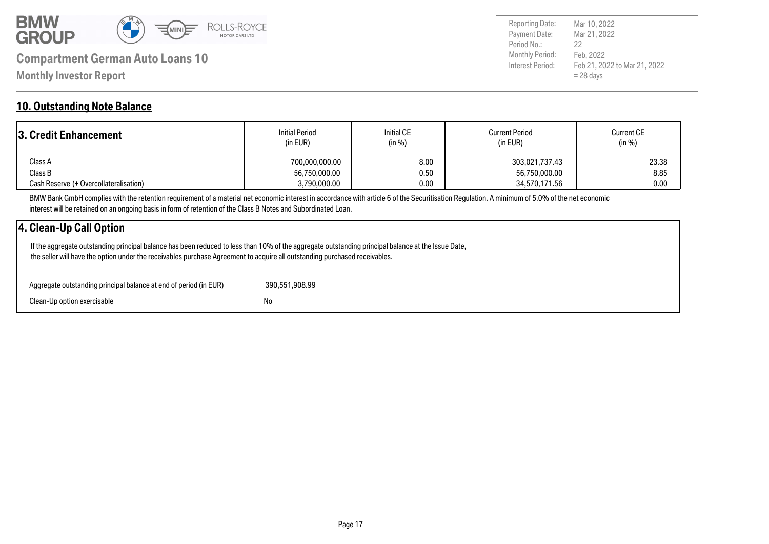

Payment Date: Period No.: Feb 21, 2022 to Mar 21, 2022 = 28 days Mar 21, 2022 Feb, 2022 22 Reporting Date: Mar 10, 2022

#### **10. Outstanding Note Balance**

| 3. Credit Enhancement                  | <b>Initial Period</b><br>(in EUR) | <b>Initial CE</b><br>(in %) | <b>Current Period</b><br>(in EUR) | <b>Current CE</b><br>(in %) |
|----------------------------------------|-----------------------------------|-----------------------------|-----------------------------------|-----------------------------|
| Class A                                | 700,000,000.00                    | 8.00                        | 303,021,737.43                    | 23.38                       |
| Class B                                | 56,750,000.00                     | 0.50                        | 56,750,000.00                     | 8.85                        |
| Cash Reserve (+ Overcollateralisation) | 3,790,000.00                      | 0.00                        | 34,570,171.56                     | 0.00                        |

BMW Bank GmbH complies with the retention requirement of a material net economic interest in accordance with article 6 of the Securitisation Regulation. A minimum of 5.0% of the net economic interest will be retained on an ongoing basis in form of retention of the Class B Notes and Subordinated Loan.

### **4. Clean-Up Call Option**

 If the aggregate outstanding principal balance has been reduced to less than 10% of the aggregate outstanding principal balance at the Issue Date, the seller will have the option under the receivables purchase Agreement to acquire all outstanding purchased receivables.

| Aggregate outstanding principal balance at end of period (in EUR) | 390,551,908.99 |
|-------------------------------------------------------------------|----------------|
| Clean-Up option exercisable                                       | No             |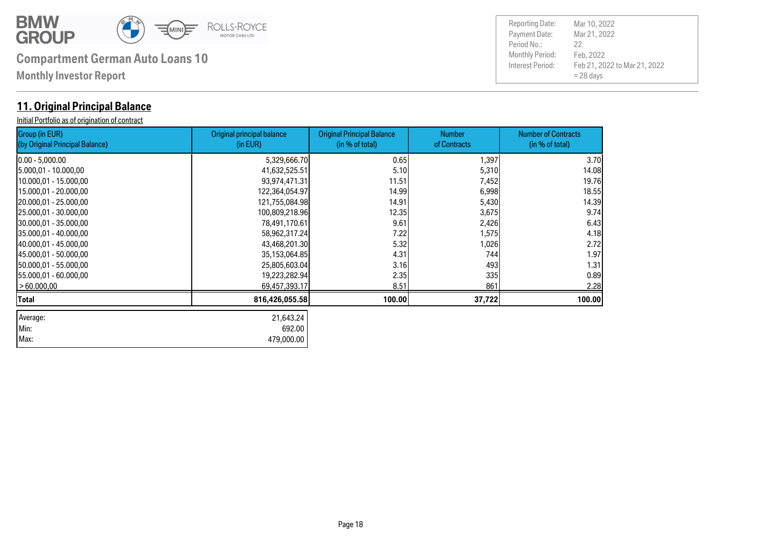

| Max: 479,000.00

# **Compartment German Auto Loans 10** Monthly Period:

**Monthly Investor Report**

### **11. Original Principal Balance**

Initial Portfolio as of origination of contract

| Group (in EUR)<br>(by Original Principal Balance) | Original principal balance<br>(in EUR) | <b>Original Principal Balance</b><br>(in % of total) | <b>Number</b><br>of Contracts | <b>Number of Contracts</b><br>(in % of total) |
|---------------------------------------------------|----------------------------------------|------------------------------------------------------|-------------------------------|-----------------------------------------------|
| $0.00 - 5,000.00$                                 | 5,329,666.70                           | 0.65                                                 | 1,397                         | 3.70                                          |
| 5.000,01 - 10.000,00                              | 41,632,525.51                          | 5.10                                                 | 5,310                         | 14.08                                         |
| 10.000,01 - 15.000,00                             | 93,974,471.31                          | 11.51                                                | 7,452                         | 19.76                                         |
| 15.000,01 - 20.000,00                             | 122,364,054.97                         | 14.99                                                | 6,998                         | 18.55                                         |
| 20.000,01 - 25.000,00                             | 121,755,084.98                         | 14.91                                                | 5,430                         | 14.39                                         |
| 25.000,01 - 30.000,00                             | 100,809,218.96                         | 12.35                                                | 3,675                         | 9.74                                          |
| 30.000,01 - 35.000,00                             | 78,491,170.61                          | 9.61                                                 | 2,426                         | 6.43                                          |
| 35.000,01 - 40.000,00                             | 58,962,317.24                          | 7.22                                                 | 1,575                         | 4.18                                          |
| 40.000,01 - 45.000,00                             | 43,468,201.30                          | 5.32                                                 | 1,026                         | 2.72                                          |
| 45.000,01 - 50.000,00                             | 35,153,064.85                          | 4.31                                                 | 744                           | 1.97                                          |
| 50.000,01 - 55.000,00                             | 25,805,603.04                          | 3.16                                                 | 493                           | 1.31                                          |
| 55.000,01 - 60.000,00                             | 19,223,282.94                          | 2.35                                                 | 335                           | 0.89                                          |
| >60.000,00                                        | 69,457,393.17                          | 8.51                                                 | 861                           | 2.28                                          |
| Total                                             | 816,426,055.58                         | 100.00                                               | 37,722                        | 100.00                                        |
| Average:                                          | 21,643.24                              |                                                      |                               |                                               |
| Min:                                              | 692.00                                 |                                                      |                               |                                               |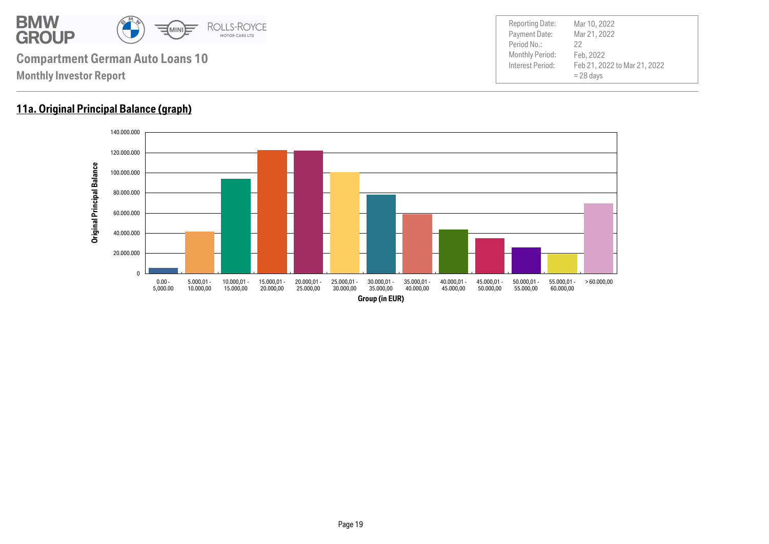

### **11a. Original Principal Balance (graph)**

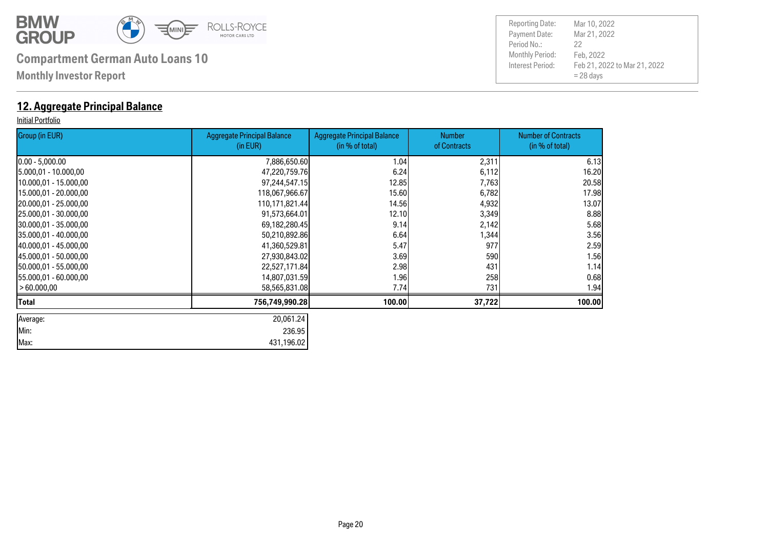

**Monthly Investor Report**

### **12. Aggregate Principal Balance**

#### Initial Portfolio

| Group (in EUR)         | <b>Aggregate Principal Balance</b><br>(in EUR) | <b>Aggregate Principal Balance</b><br>(in % of total) | <b>Number</b><br>of Contracts | <b>Number of Contracts</b><br>(in % of total) |
|------------------------|------------------------------------------------|-------------------------------------------------------|-------------------------------|-----------------------------------------------|
| $[0.00 - 5,000.00]$    | 7,886,650.60                                   | 1.04                                                  | 2,311                         | 6.13                                          |
| 5.000,01 - 10.000,00   | 47,220,759.76                                  | 6.24                                                  | 6,112                         | 16.20                                         |
| 10.000,01 - 15.000,00  | 97,244,547.15                                  | 12.85                                                 | 7,763                         | 20.58                                         |
| 15.000,01 - 20.000,00  | 118,067,966.67                                 | 15.60                                                 | 6,782                         | 17.98                                         |
| 20.000,01 - 25.000,00  | 110,171,821.44                                 | 14.56                                                 | 4,932                         | 13.07                                         |
| 25.000,01 - 30.000,00  | 91,573,664.01                                  | 12.10                                                 | 3,349                         | 8.88                                          |
| 30.000,01 - 35.000,00  | 69,182,280.45                                  | 9.14                                                  | 2,142                         | 5.68                                          |
| 35.000,01 - 40.000,00  | 50,210,892.86                                  | 6.64                                                  | 1,344                         | 3.56                                          |
| 40.000,01 - 45.000,00  | 41,360,529.81                                  | 5.47                                                  | 977                           | 2.59                                          |
| 145.000.01 - 50.000.00 | 27,930,843.02                                  | 3.69                                                  | 590                           | 1.56                                          |
| 150.000,01 - 55.000,00 | 22,527,171.84                                  | 2.98                                                  | 431                           | 1.14                                          |
| 155.000,01 - 60.000,00 | 14,807,031.59                                  | 1.96                                                  | 258                           | 0.68                                          |
| > 60.000,00            | 58,565,831.08                                  | 7.74                                                  | 731                           | 1.94                                          |
| Total                  | 756,749,990.28                                 | 100.00                                                | 37,722                        | 100.00                                        |
| Average:               | 20,061.24                                      |                                                       |                               |                                               |
| Min:                   | 236.95                                         |                                                       |                               |                                               |
| Max:                   | 431,196.02                                     |                                                       |                               |                                               |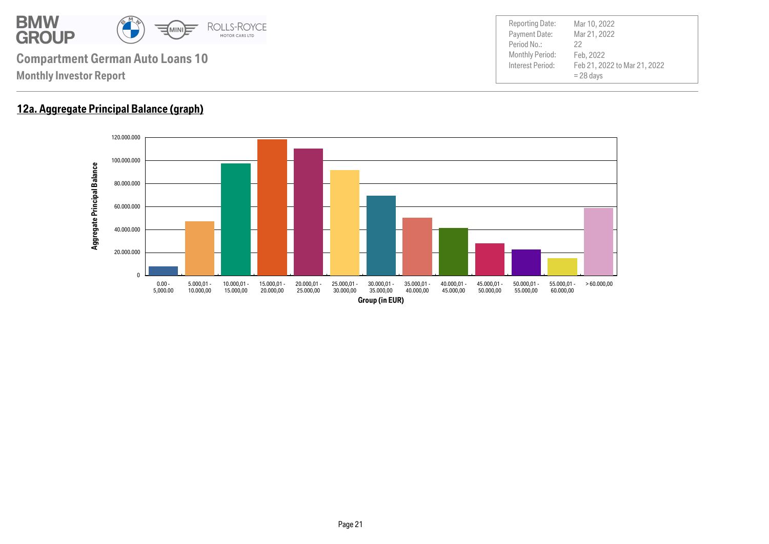

### **12a. Aggregate Principal Balance (graph)**

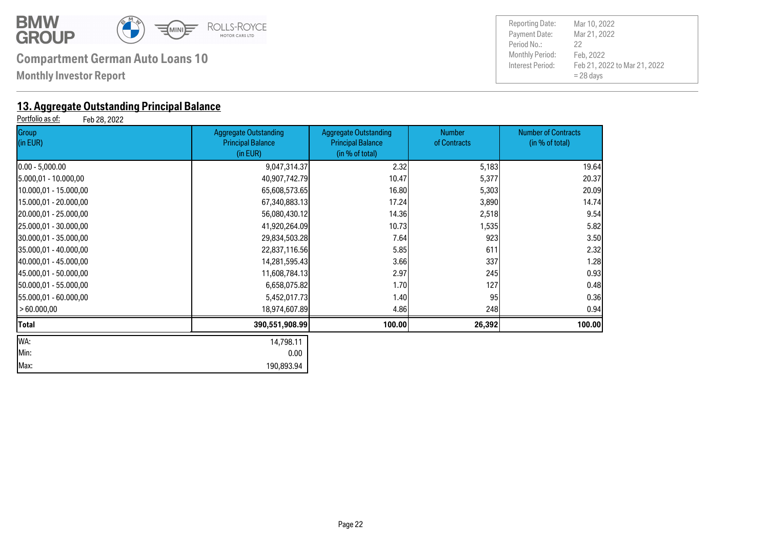

**Monthly Investor Report**

# **13. Aggregate Outstanding Principal Balance**<br>Portfolio as of: Feb 28, 2022

Feb 28, 2022

| Group<br>(in EUR)      | <b>Aggregate Outstanding</b><br><b>Principal Balance</b><br>(in EUR) | <b>Aggregate Outstanding</b><br><b>Principal Balance</b><br>(in % of total) | <b>Number</b><br>of Contracts | <b>Number of Contracts</b><br>(in % of total) |
|------------------------|----------------------------------------------------------------------|-----------------------------------------------------------------------------|-------------------------------|-----------------------------------------------|
| $0.00 - 5,000.00$      | 9,047,314.37                                                         | 2.32                                                                        | 5,183                         | 19.64                                         |
| 5.000,01 - 10.000,00   | 40,907,742.79                                                        | 10.47                                                                       | 5,377                         | 20.37                                         |
| 10.000,01 - 15.000,00  | 65,608,573.65                                                        | 16.80                                                                       | 5,303                         | 20.09                                         |
| 15.000,01 - 20.000,00  | 67,340,883.13                                                        | 17.24                                                                       | 3,890                         | 14.74                                         |
| 20.000,01 - 25.000,00  | 56,080,430.12                                                        | 14.36                                                                       | 2,518                         | 9.54                                          |
| 25.000,01 - 30.000,00  | 41,920,264.09                                                        | 10.73                                                                       | 1,535                         | 5.82                                          |
| 30.000,01 - 35.000,00  | 29,834,503.28                                                        | 7.64                                                                        | 923                           | 3.50                                          |
| 35.000,01 - 40.000,00  | 22,837,116.56                                                        | 5.85                                                                        | 611                           | 2.32                                          |
| 140.000,01 - 45.000,00 | 14,281,595.43                                                        | 3.66                                                                        | 337                           | 1.28                                          |
| 45.000,01 - 50.000,00  | 11,608,784.13                                                        | 2.97                                                                        | 245                           | 0.93                                          |
| 50.000,01 - 55.000,00  | 6,658,075.82                                                         | 1.70                                                                        | 127                           | 0.48                                          |
| [55.000,01 - 60.000,00 | 5,452,017.73                                                         | 1.40                                                                        | 95                            | 0.36                                          |
| >60.000,00             | 18,974,607.89                                                        | 4.86                                                                        | 248                           | 0.94                                          |
| Total                  | 390,551,908.99                                                       | 100.00                                                                      | 26,392                        | 100.00                                        |
| WA:                    | 14,798.11                                                            |                                                                             |                               |                                               |
| Min:                   | 0.00                                                                 |                                                                             |                               |                                               |
| Max:                   | 190,893.94                                                           |                                                                             |                               |                                               |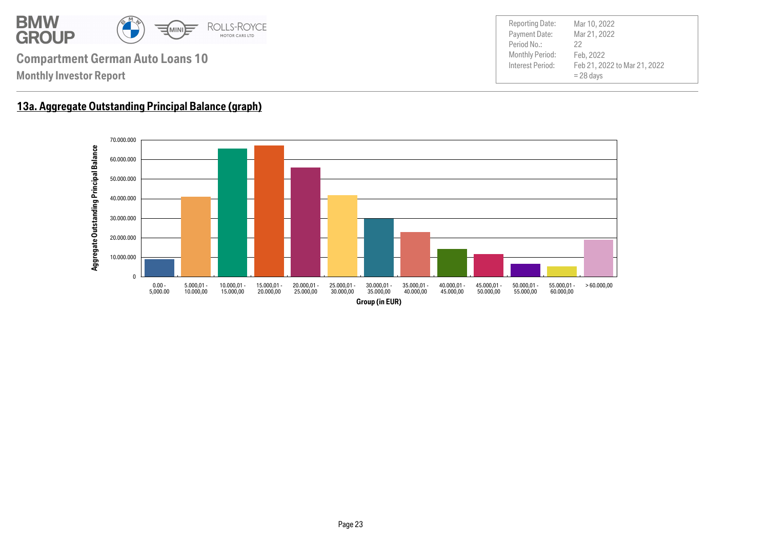

Payment Date: Period No.: Feb 21, 2022 to Mar 21, 2022 = 28 days Mar 21, 2022 Feb, 2022 22 Reporting Date: Mar 10, 2022

## **13a. Aggregate Outstanding Principal Balance (graph)**

**Monthly Investor Report**

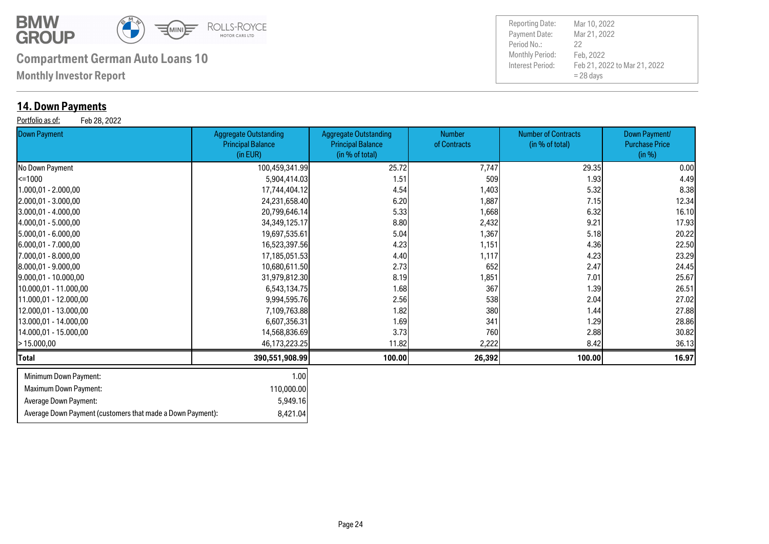

Average Down Payment (customers that made a Down Payment): 8,421.04

# **Compartment German Auto Loans 10** Monthly Period:

**Monthly Investor Report**

### **14. Down Payments**

Portfolio as of: Feb 28, 2022

| . <sub>.</sub><br><b>Down Payment</b> | <b>Aggregate Outstanding</b><br><b>Principal Balance</b><br>(in EUR) | <b>Aggregate Outstanding</b><br><b>Principal Balance</b><br>(in % of total) | <b>Number</b><br>of Contracts | <b>Number of Contracts</b><br>(in % of total) | Down Payment/<br><b>Purchase Price</b><br>(in %) |
|---------------------------------------|----------------------------------------------------------------------|-----------------------------------------------------------------------------|-------------------------------|-----------------------------------------------|--------------------------------------------------|
| No Down Payment                       | 100,459,341.99                                                       | 25.72                                                                       | 7,747                         | 29.35                                         | 0.00                                             |
| $\leq 1000$                           | 5,904,414.03                                                         | 1.51                                                                        | 509                           | 1.93                                          | 4.49                                             |
| 1.000,01 - 2.000,00                   | 17,744,404.12                                                        | 4.54                                                                        | 1,403                         | 5.32                                          | 8.38                                             |
| 2.000,01 - 3.000,00                   | 24,231,658.40                                                        | 6.20                                                                        | 1,887                         | 7.15                                          | 12.34                                            |
| $3.000,01 - 4.000,00$                 | 20,799,646.14                                                        | 5.33                                                                        | 1,668                         | 6.32                                          | 16.10                                            |
| 4.000,01 - 5.000,00                   | 34, 349, 125. 17                                                     | 8.80                                                                        | 2,432                         | 9.21                                          | 17.93                                            |
| 5.000,01 - 6.000,00                   | 19,697,535.61                                                        | 5.04                                                                        | 1,367                         | 5.18                                          | 20.22                                            |
| [6.000,01 - 7.000,00                  | 16,523,397.56                                                        | 4.23                                                                        | 1,151                         | 4.36                                          | 22.50                                            |
| 7.000,01 - 8.000,00                   | 17,185,051.53                                                        | 4.40                                                                        | 1,117                         | 4.23                                          | 23.29                                            |
| 8.000,01 - 9.000,00                   | 10,680,611.50                                                        | 2.73                                                                        | 652                           | 2.47                                          | 24.45                                            |
| 9.000,01 - 10.000,00                  | 31,979,812.30                                                        | 8.19                                                                        | 1,851                         | 7.01                                          | 25.67                                            |
| 10.000,01 - 11.000,00                 | 6,543,134.75                                                         | 1.68                                                                        | 367                           | 1.39                                          | 26.51                                            |
| 11.000,01 - 12.000,00                 | 9,994,595.76                                                         | 2.56                                                                        | 538                           | 2.04                                          | 27.02                                            |
| 12.000,01 - 13.000,00                 | 7,109,763.88                                                         | 1.82                                                                        | 380                           | 1.44                                          | 27.88                                            |
| 13.000,01 - 14.000,00                 | 6,607,356.31                                                         | 1.69                                                                        | 341                           | 1.29                                          | 28.86                                            |
| 14.000,01 - 15.000,00                 | 14,568,836.69                                                        | 3.73                                                                        | 760                           | 2.88                                          | 30.82                                            |
| - 15.000,00                           | 46,173,223.25                                                        | 11.82                                                                       | 2,222                         | 8.42                                          | 36.13                                            |
| Total                                 | 390,551,908.99                                                       | 100.00                                                                      | 26,392                        | 100.00                                        | 16.97                                            |
| Minimum Down Payment:                 | 1.00                                                                 |                                                                             |                               |                                               |                                                  |
| <b>Maximum Down Payment:</b>          | 110,000.00                                                           |                                                                             |                               |                                               |                                                  |
| Average Down Payment:                 | 5,949.16                                                             |                                                                             |                               |                                               |                                                  |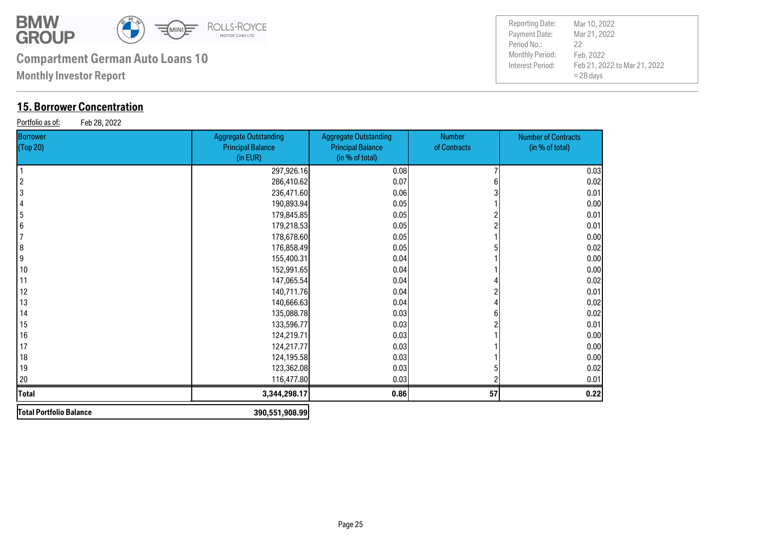

**Monthly Investor Report**

### **15. Borrower Concentration**

Portfolio as of: Feb 28, 2022

| <b>Borrower</b><br>(Top 20) | <b>Aggregate Outstanding</b><br><b>Principal Balance</b><br>(in EUR) | <b>Aggregate Outstanding</b><br><b>Principal Balance</b><br>(in % of total) | Number<br>of Contracts | <b>Number of Contracts</b><br>(in % of total) |
|-----------------------------|----------------------------------------------------------------------|-----------------------------------------------------------------------------|------------------------|-----------------------------------------------|
|                             | 297,926.16                                                           | 0.08                                                                        |                        | 0.03                                          |
| 2                           | 286,410.62                                                           | 0.07                                                                        |                        | 0.02                                          |
| 3                           | 236,471.60                                                           | 0.06                                                                        |                        | 0.01                                          |
| 4                           | 190,893.94                                                           | 0.05                                                                        |                        | 0.00                                          |
| 5                           | 179,845.85                                                           | 0.05                                                                        |                        | 0.01                                          |
| 6                           | 179,218.53                                                           | 0.05                                                                        |                        | 0.01                                          |
|                             | 178,678.60                                                           | 0.05                                                                        |                        | 0.00                                          |
| 8                           | 176,858.49                                                           | 0.05                                                                        |                        | 0.02                                          |
| 9                           | 155,400.31                                                           | 0.04                                                                        |                        | 0.00                                          |
| 10                          | 152,991.65                                                           | 0.04                                                                        |                        | 0.00                                          |
| 11                          | 147,065.54                                                           | 0.04                                                                        |                        | 0.02                                          |
| 12                          | 140,711.76                                                           | 0.04                                                                        |                        | 0.01                                          |
| 13                          | 140,666.63                                                           | 0.04                                                                        |                        | 0.02                                          |
| 14                          | 135,088.78                                                           | 0.03                                                                        |                        | 0.02                                          |
| 15                          | 133,596.77                                                           | 0.03                                                                        |                        | 0.01                                          |
| 16                          | 124,219.71                                                           | 0.03                                                                        |                        | 0.00                                          |
| 17                          | 124,217.77                                                           | 0.03                                                                        |                        | 0.00                                          |
| 18                          | 124,195.58                                                           | 0.03                                                                        |                        | 0.00                                          |
| 19                          | 123,362.08                                                           | 0.03                                                                        |                        | 0.02                                          |
| 20                          | 116,477.80                                                           | 0.03                                                                        |                        | 0.01                                          |
| <b>Total</b>                | 3,344,298.17                                                         | 0.86                                                                        | 57                     | 0.22                                          |
| Total Portfolio Balance     | 390,551,908.99                                                       |                                                                             |                        |                                               |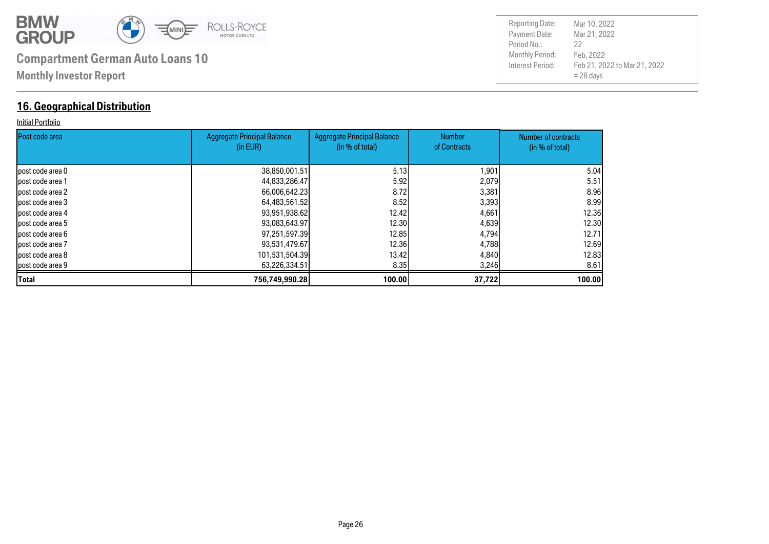

### **16. Geographical Distribution**

#### Initial Portfolio

| <b>IPost code area</b> | Aggregate Principal Balance<br>(in EUR) | <b>Aggregate Principal Balance</b><br>(in % of total) | <b>Number</b><br>of Contracts | Number of contracts |
|------------------------|-----------------------------------------|-------------------------------------------------------|-------------------------------|---------------------|
|                        |                                         |                                                       |                               | (in % of total)     |
| lpost code area 0      | 38,850,001.51                           | 5.13                                                  | 1,901                         | 5.04                |
| lpost code area 1      | 44,833,286.47                           | 5.92                                                  | 2,079                         | 5.51                |
| post code area 2       | 66,006,642.23                           | 8.72I                                                 | 3,381                         | 8.96I               |
| lpost code area 3      | 64,483,561.52                           | 8.52                                                  | 3,393                         | 8.99                |
| lpost code area 4      | 93,951,938.62                           | 12.42 <b>1</b>                                        | 4,661                         | 12.36               |
| post code area 5       | 93,083,643.97                           | 12.30 <b>I</b>                                        | 4,639                         | 12.30               |
| lpost code area 6      | 97,251,597.39                           | 12.85                                                 | 4,794                         | 12.71               |
| post code area 7       | 93,531,479.67                           | 12,36                                                 | 4,788                         | 12.69               |
| lpost code area 8      | 101,531,504.39                          | 13.42 <b>1</b>                                        | 4,840                         | 12.83               |
| post code area 9       | 63,226,334.51                           | 8.35                                                  | 3,246                         | 8.61                |
| <b>Total</b>           | 756,749,990.28                          | 100.00                                                | 37,722                        | 100.00              |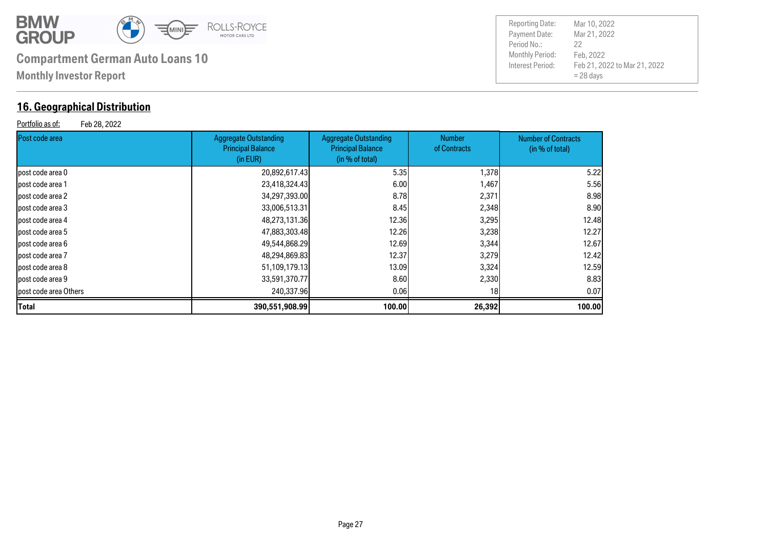

### **16. Geographical Distribution**

Portfolio as of: Feb 28, 2022

| <b>Reporting Date:</b> | Mar 10, 2022                 |
|------------------------|------------------------------|
| Payment Date:          | Mar 21, 2022                 |
| Period No.:            | 22                           |
| Monthly Period:        | Feb. 2022                    |
| Interest Period:       | Feb 21, 2022 to Mar 21, 2022 |
|                        | $= 28$ days                  |

| Post code area        | <b>Aggregate Outstanding</b><br><b>Principal Balance</b><br>(in EUR) | Aggregate Outstanding<br><b>Principal Balance</b><br>(in % of total) | <b>Number</b><br>of Contracts | <b>Number of Contracts</b><br>(in % of total) |
|-----------------------|----------------------------------------------------------------------|----------------------------------------------------------------------|-------------------------------|-----------------------------------------------|
| post code area 0      | 20,892,617.43                                                        | 5.35                                                                 | 1,378                         | 5.22                                          |
| post code area 1      | 23,418,324.43                                                        | 6.00                                                                 | 1,467                         | 5.56                                          |
| post code area 2      | 34,297,393.00                                                        | 8.78                                                                 | 2,371                         | 8.98                                          |
| post code area 3      | 33,006,513.31                                                        | 8.45                                                                 | 2,348                         | 8.90                                          |
| post code area 4      | 48,273,131.36                                                        | 12.36                                                                | 3,295                         | 12.48                                         |
| post code area 5      | 47,883,303.48                                                        | 12.26                                                                | 3,238                         | 12.27                                         |
| lpost code area 6     | 49,544,868.29                                                        | 12.69                                                                | 3,344                         | 12.67                                         |
| post code area 7      | 48,294,869.83                                                        | 12.37                                                                | 3,279                         | 12.42                                         |
| lpost code area 8     | 51,109,179.13                                                        | 13.09                                                                | 3,324                         | 12.59                                         |
| post code area 9      | 33,591,370.77                                                        | 8.60                                                                 | 2,330                         | 8.83                                          |
| post code area Others | 240,337.96                                                           | 0.06                                                                 | 18I                           | 0.07                                          |
| Total                 | 390,551,908.99                                                       | 100.00                                                               | 26,392                        | 100.00                                        |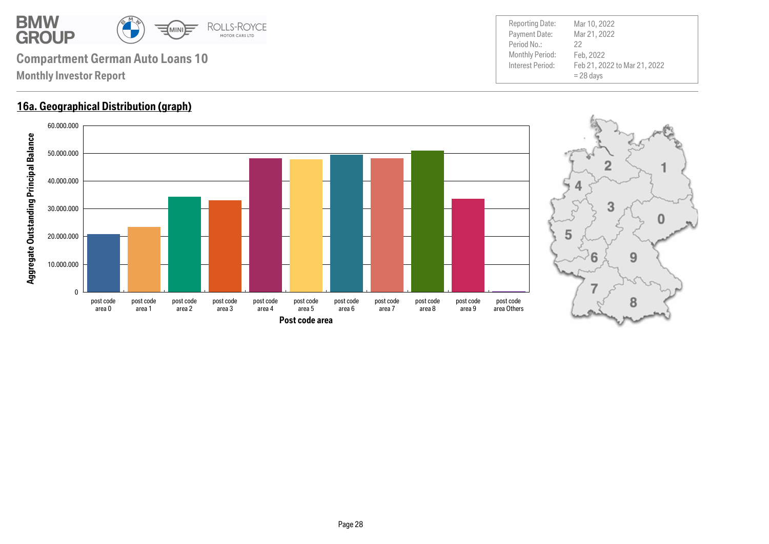

#### **16a. Geographical Distribution (graph)**



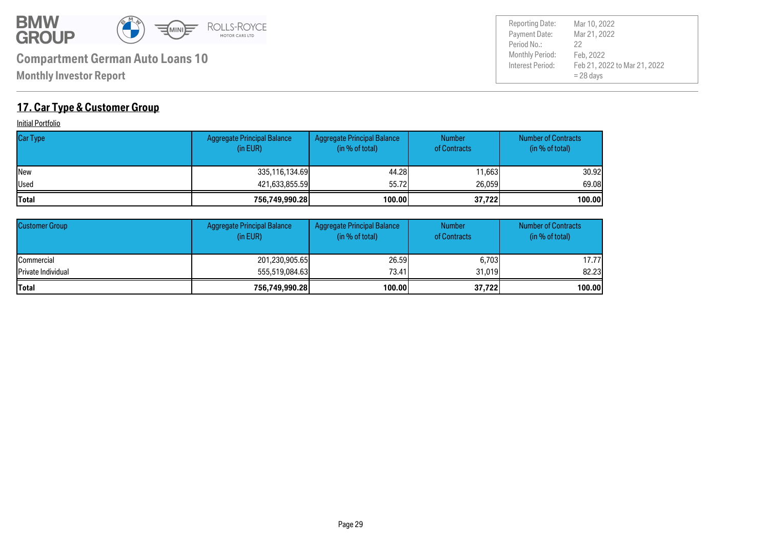

Payment Date: Period No.: Feb 21, 2022 to Mar 21, 2022 = 28 days Mar 21, 2022 Feb, 2022 22 Reporting Date: Mar 10, 2022

### **17. Car Type & Customer Group**

**Initial Portfolio** 

| <b>Car Type</b> | Aggregate Principal Balance<br>(in EUR) | Aggregate Principal Balance<br>(in % of total) | <b>Number</b><br>of Contracts | <b>Number of Contracts</b><br>(in % of total) |
|-----------------|-----------------------------------------|------------------------------------------------|-------------------------------|-----------------------------------------------|
| <b>INew</b>     | 335,116,134.69                          | 44.28                                          | 11,663                        | 30.92                                         |
| <b>Used</b>     | 421,633,855.59                          | 55.72                                          | 26,059                        | 69.08                                         |
| <b>Total</b>    | 756,749,990.28                          | 100.00                                         | 37,722                        | 100.00                                        |

| <b>Customer Group</b> | Aggregate Principal Balance<br>(in EUR) | <b>Aggregate Principal Balance</b><br>(in % of total) | <b>Number</b><br>of Contracts | <b>Number of Contracts</b><br>(in % of total) |
|-----------------------|-----------------------------------------|-------------------------------------------------------|-------------------------------|-----------------------------------------------|
| <b>I</b> Commercial   | 201,230,905.65                          | 26.59                                                 | 6,703                         | 17.77                                         |
| Private Individual    | 555,519,084,63                          | 73.41                                                 | 31,019                        | 82.23                                         |
| lTotal                | 756,749,990.28                          | 100.00                                                | 37,722                        | 100.00                                        |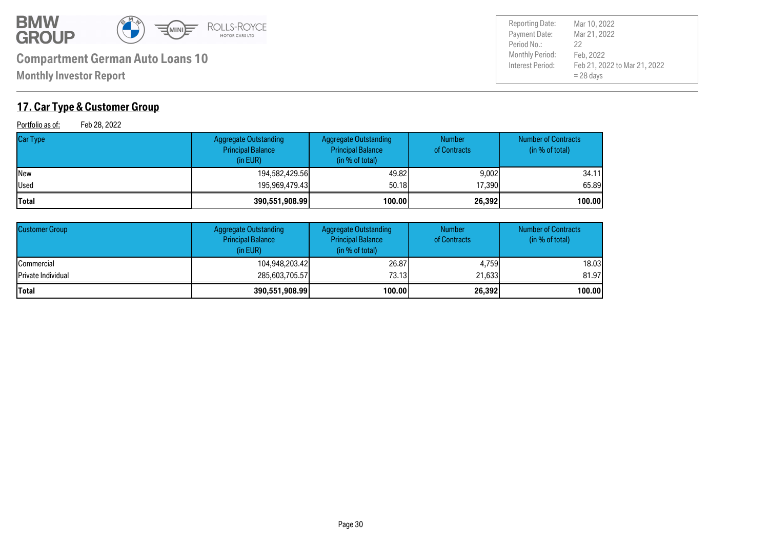

**Monthly Investor Report**

### **17. Car Type & Customer Group**

Portfolio as of: Feb 28, 2022

| <b>Car Type</b> | Aggregate Outstanding<br><b>Principal Balance</b><br>(in EUR) | <b>Aggregate Outstanding</b><br><b>Principal Balance</b><br>(in % of total) | <b>Number</b><br>of Contracts | <b>Number of Contracts</b><br>(in % of total) |
|-----------------|---------------------------------------------------------------|-----------------------------------------------------------------------------|-------------------------------|-----------------------------------------------|
| <b>New</b>      | 194,582,429.56                                                | 49.82                                                                       | 9,002                         | 34.11                                         |
| Used            | 195,969,479.43                                                | 50.18                                                                       | 17,390                        | 65,89                                         |
| Total           | 390,551,908.99                                                | 100.00                                                                      | 26,392                        | 100.00                                        |

| <b>Customer Group</b> | <b>Aggregate Outstanding</b><br><b>Principal Balance</b><br>(in EUR) | <b>Aggregate Outstanding</b><br><b>Principal Balance</b><br>(in % of total) | <b>Number</b><br>of Contracts | <b>Number of Contracts</b><br>(in % of total) |
|-----------------------|----------------------------------------------------------------------|-----------------------------------------------------------------------------|-------------------------------|-----------------------------------------------|
| <b>ICommercial</b>    | 104,948,203.42                                                       | 26.87                                                                       | 4.759                         | 18.03                                         |
| Private Individual    | 285,603,705.57                                                       | 73.13I                                                                      | 21.633                        | 81.97                                         |
| <b>Total</b>          | 390,551,908.99                                                       | 100.00                                                                      | 26,392                        | 100.00                                        |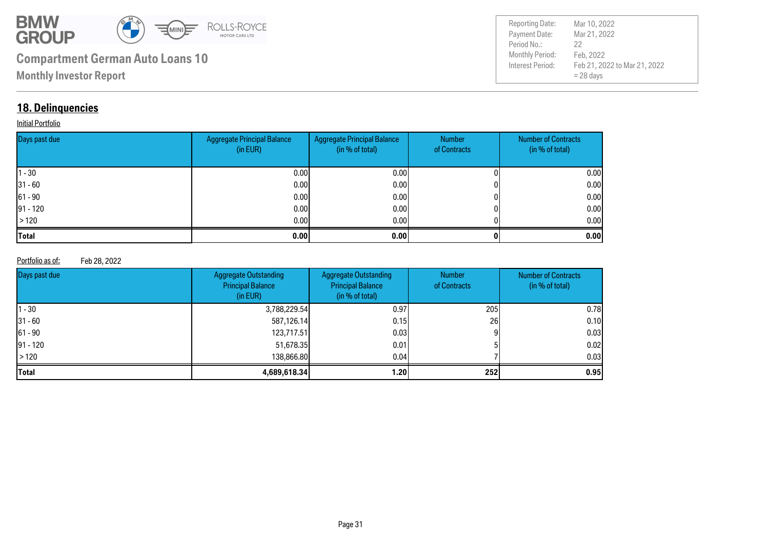

| <b>Reporting Date:</b> | Mar 10, 2022                 |
|------------------------|------------------------------|
| Payment Date:          | Mar 21, 2022                 |
| Period No.:            | 22                           |
| Monthly Period:        | Feb, 2022                    |
| Interest Period:       | Feb 21, 2022 to Mar 21, 2022 |
|                        | $= 28$ days                  |

### **18. Delinquencies**

#### **Initial Portfolio**

| Days past due | <b>Aggregate Principal Balance</b><br>(in EUR) | Aggregate Principal Balance<br>(in % of total) | Number<br>of Contracts | <b>Number of Contracts</b><br>(in % of total) |
|---------------|------------------------------------------------|------------------------------------------------|------------------------|-----------------------------------------------|
| $ 1 - 30 $    | 0.00                                           | 0.00 <sub>l</sub>                              |                        | 0.00                                          |
| $ 31 - 60 $   | 0.00                                           | 0.00                                           |                        | 0.00                                          |
| $ 61 - 90 $   | 0.00                                           | 0.00                                           |                        | 0.00                                          |
| $ 91 - 120 $  | 0.00                                           | 0.00                                           |                        | 0.00                                          |
| >120          | 0.00                                           | 0.00                                           |                        | 0.00                                          |
| <b>Total</b>  | 0.00                                           | 0.001                                          |                        | 0.00                                          |

#### Portfolio as of: Feb 28, 2022

| Days past due | <b>Aggregate Outstanding</b><br><b>Principal Balance</b><br>(in EUR) | <b>Aggregate Outstanding</b><br><b>Principal Balance</b><br>(in % of total) | <b>Number</b><br>of Contracts | <b>Number of Contracts</b><br>(in % of total) |
|---------------|----------------------------------------------------------------------|-----------------------------------------------------------------------------|-------------------------------|-----------------------------------------------|
| 11 - 30       | 3,788,229.54                                                         | 0.97                                                                        | 205                           | 0.78                                          |
| $ 31 - 60 $   | 587,126.14                                                           | 0.15                                                                        | 26                            | 0.10                                          |
| $ 61 - 90 $   | 123,717.51                                                           | 0.03 <sub>l</sub>                                                           |                               | 0.03                                          |
| $ 91 - 120 $  | 51,678.35                                                            | 0.01                                                                        |                               | 0.02                                          |
| $\vert$ > 120 | 138,866,80                                                           | 0.04                                                                        |                               | 0.03                                          |
| <b>Total</b>  | 4,689,618.34                                                         | 1.201                                                                       | <b>2521</b>                   | 0.95                                          |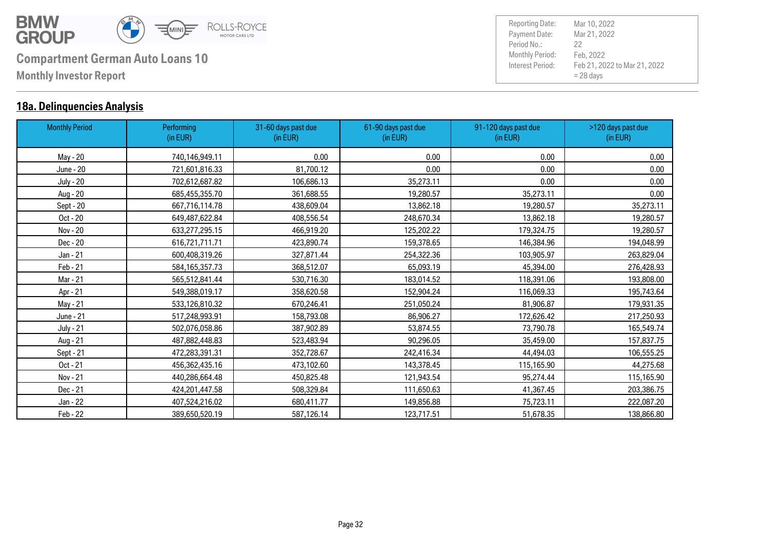

### **18a. Delinquencies Analysis**

| <b>Monthly Period</b> | <b>Performing</b><br>(in EUR) | 31-60 days past due<br>(in EUR) | 61-90 days past due<br>(in EUR) | 91-120 days past due<br>(in EUR) | >120 days past due<br>(in EUR) |
|-----------------------|-------------------------------|---------------------------------|---------------------------------|----------------------------------|--------------------------------|
| May - 20              | 740,146,949.11                | 0.00                            | 0.00                            | 0.00                             | 0.00                           |
| June - 20             | 721,601,816.33                | 81,700.12                       | 0.00                            | 0.00                             | 0.00                           |
| <b>July - 20</b>      | 702,612,687.82                | 106,686.13                      | 35,273.11                       | 0.00                             | 0.00                           |
| Aug - 20              | 685,455,355.70                | 361,688.55                      | 19,280.57                       | 35,273.11                        | 0.00                           |
| Sept - 20             | 667,716,114.78                | 438,609.04                      | 13,862.18                       | 19,280.57                        | 35,273.11                      |
| Oct - 20              | 649,487,622.84                | 408,556.54                      | 248,670.34                      | 13,862.18                        | 19,280.57                      |
| Nov - 20              | 633,277,295.15                | 466,919.20                      | 125,202.22                      | 179,324.75                       | 19,280.57                      |
| Dec - 20              | 616,721,711.71                | 423,890.74                      | 159,378.65                      | 146,384.96                       | 194,048.99                     |
| Jan - 21              | 600,408,319.26                | 327,871.44                      | 254,322.36                      | 103,905.97                       | 263,829.04                     |
| Feb - 21              | 584,165,357.73                | 368,512.07                      | 65,093.19                       | 45,394.00                        | 276,428.93                     |
| Mar - 21              | 565,512,841.44                | 530,716.30                      | 183,014.52                      | 118,391.06                       | 193,808.00                     |
| Apr - 21              | 549,388,019.17                | 358,620.58                      | 152,904.24                      | 116,069.33                       | 195,743.64                     |
| May - 21              | 533,126,810.32                | 670,246.41                      | 251,050.24                      | 81,906.87                        | 179,931.35                     |
| June - 21             | 517,248,993.91                | 158,793.08                      | 86,906.27                       | 172,626.42                       | 217,250.93                     |
| <b>July - 21</b>      | 502,076,058.86                | 387,902.89                      | 53,874.55                       | 73,790.78                        | 165,549.74                     |
| Aug - 21              | 487,882,448.83                | 523,483.94                      | 90,296.05                       | 35,459.00                        | 157,837.75                     |
| Sept - 21             | 472,283,391.31                | 352,728.67                      | 242,416.34                      | 44,494.03                        | 106,555.25                     |
| Oct - 21              | 456,362,435.16                | 473,102.60                      | 143,378.45                      | 115,165.90                       | 44,275.68                      |
| Nov - 21              | 440,286,664.48                | 450,825.48                      | 121,943.54                      | 95,274.44                        | 115,165.90                     |
| Dec - 21              | 424,201,447.58                | 508,329.84                      | 111,650.63                      | 41,367.45                        | 203,386.75                     |
| Jan - 22              | 407,524,216.02                | 680,411.77                      | 149,856.88                      | 75,723.11                        | 222,087.20                     |
| Feb - 22              | 389,650,520.19                | 587,126.14                      | 123,717.51                      | 51,678.35                        | 138,866.80                     |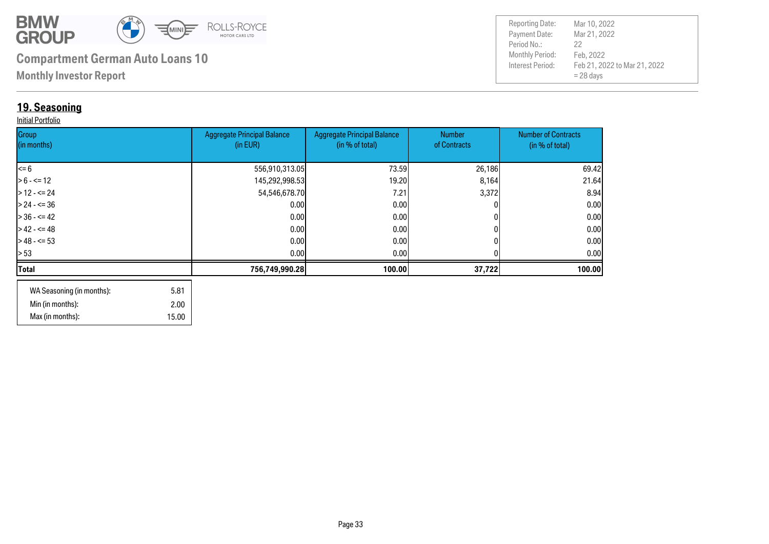

**Monthly Investor Report**

### **19. Seasoning**

#### Initial Portfolio

| Group<br>(in months) | <b>Aggregate Principal Balance</b><br>(in EUR) | <b>Aggregate Principal Balance</b><br>(in % of total) | Number<br>of Contracts | <b>Number of Contracts</b><br>(in % of total) |
|----------------------|------------------------------------------------|-------------------------------------------------------|------------------------|-----------------------------------------------|
|                      |                                                |                                                       |                        |                                               |
| $\leq 6$             | 556,910,313.05                                 | 73.59                                                 | 26,186                 | 69.42                                         |
| $> 6 - \le 12$       | 145,292,998.53                                 | 19.20                                                 | 8,164                  | 21.64                                         |
| $>12 - 52$           | 54,546,678.70                                  | 7.21                                                  | 3,372                  | 8.94                                          |
| $> 24 - 5 = 36$      | 0.00                                           | 0.00                                                  |                        | 0.00                                          |
| $> 36 - 5 = 42$      | 0.00                                           | 0.00                                                  |                        | 0.00                                          |
| $>42 - 5 = 48$       | 0.00                                           | 0.00                                                  |                        | 0.00                                          |
| $>$ 48 - <= 53       | 0.00                                           | 0.001                                                 |                        | 0.00                                          |
| > 53                 | 0.00                                           | 0.00 <sub>l</sub>                                     |                        | 0.00 <sub>l</sub>                             |
| Total                | 756,749,990.28                                 | 100.00                                                | 37,722                 | 100.00                                        |
|                      |                                                |                                                       |                        |                                               |

| WA Seasoning (in months): | 5.81  |
|---------------------------|-------|
| Min (in months):          | 2.00  |
| Max (in months):          | 15.00 |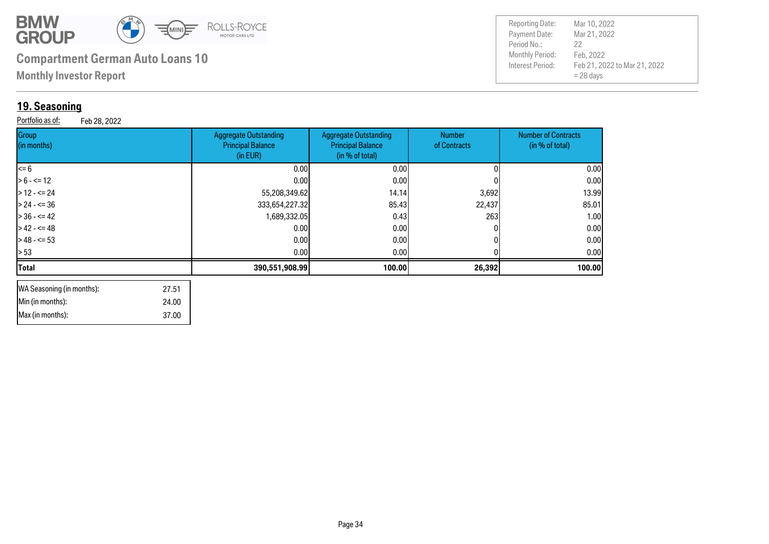

 37.00 24.00 27.51

# **Compartment German Auto Loans 10** Monthly Period:

**Monthly Investor Report**

### **19. Seasoning**

 Min (in months): Max (in months):

WA Seasoning (in months):

**Group** (in months)

| 19. Seasoning<br>Portfolio as of:<br>Feb 28, 2022 |                                                                      |                                                                             |                               |                                               |  |  |  |
|---------------------------------------------------|----------------------------------------------------------------------|-----------------------------------------------------------------------------|-------------------------------|-----------------------------------------------|--|--|--|
| Group<br>(in months)                              | <b>Aggregate Outstanding</b><br><b>Principal Balance</b><br>(in EUR) | <b>Aggregate Outstanding</b><br><b>Principal Balance</b><br>(in % of total) | <b>Number</b><br>of Contracts | <b>Number of Contracts</b><br>(in % of total) |  |  |  |
| <= 6                                              | 0.00                                                                 | 0.001                                                                       |                               | 0.001                                         |  |  |  |
| $> 6 - \le 12$                                    | 0.00                                                                 | 0.00                                                                        |                               | 0.00                                          |  |  |  |
| $> 12 - 5 = 24$                                   | 55,208,349.62                                                        | 14.14                                                                       | 3,692                         | 13.99                                         |  |  |  |
| > 24 - <= 36                                      | 333,654,227.32                                                       | 85.43                                                                       | 22,437                        | 85.01                                         |  |  |  |
| $> 36 - 5 = 42$                                   | 1,689,332.05                                                         | 0.43                                                                        | 263                           | 1.00I                                         |  |  |  |

> 42 - <= 48 0.00 0.00 0 0.00 > 48 - <= 53 0.00 0.00 0 0.00 > 53 0.00 0.00 0 0.00 **Total 390,551,908.99 100.00 26,392 100.00**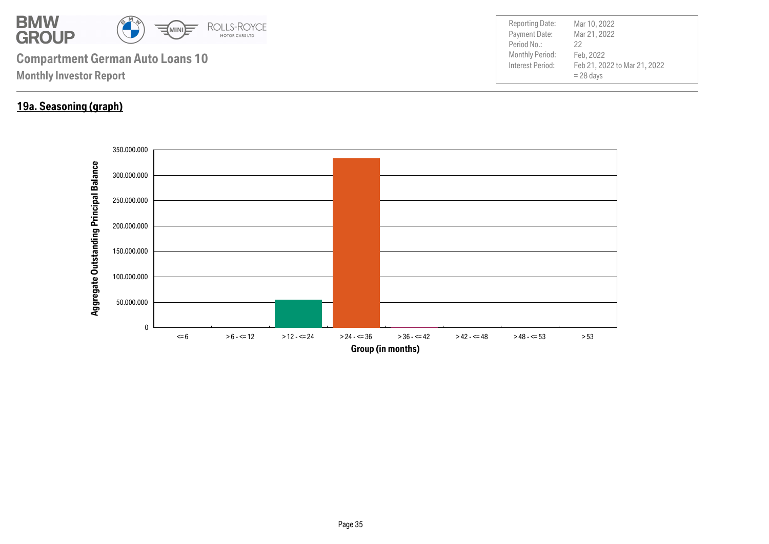

### **19a. Seasoning (graph)**

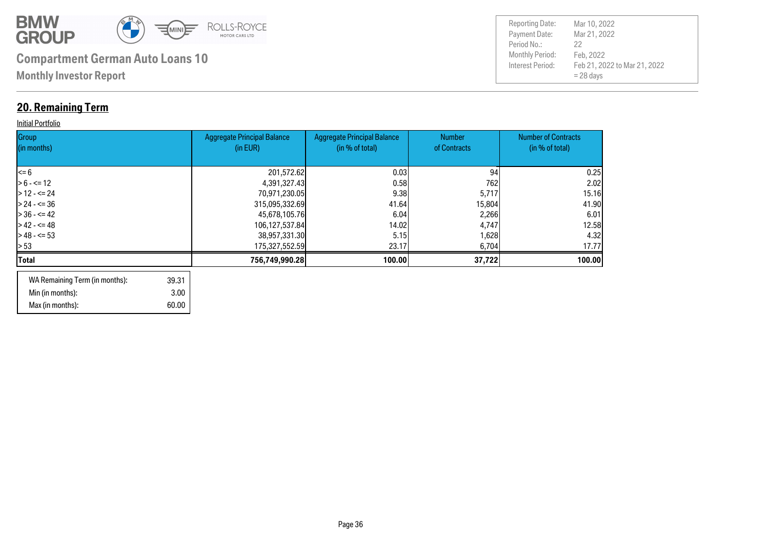

### **20. Remaining Term**

#### **Initial Portfolio**

| Group<br>(in months) | <b>Aggregate Principal Balance</b><br>(in EUR) | <b>Aggregate Principal Balance</b><br>(in % of total) | <b>Number</b><br>of Contracts | <b>Number of Contracts</b><br>(in % of total) |
|----------------------|------------------------------------------------|-------------------------------------------------------|-------------------------------|-----------------------------------------------|
| l<= 6                | 201,572.62                                     | 0.03                                                  | 94                            | 0.25                                          |
| $> 6 - \le 12$       | 4,391,327.43                                   | 0.58                                                  | 762                           | 2.02                                          |
| $>12 - 524$          | 70,971,230.05                                  | 9.38                                                  | 5,717                         | 15.16                                         |
| $> 24 - 5 = 36$      | 315,095,332.69                                 | 41.64                                                 | 15,804                        | 41.90                                         |
| $> 36 - 5 = 42$      | 45,678,105.76                                  | 6.04                                                  | 2,266                         | 6.01                                          |
| $> 42 - 5 = 48$      | 106,127,537.84                                 | 14.02                                                 | 4,747                         | 12.58                                         |
| $>$ 48 - <= 53       | 38,957,331.30                                  | 5.15                                                  | 1,628                         | 4.32                                          |
| > 53                 | 175,327,552.59                                 | 23.17                                                 | 6,704                         | 17.77                                         |
| Total                | 756,749,990.28                                 | 100.00                                                | 37,722                        | 100.00                                        |
|                      |                                                |                                                       |                               |                                               |

| WA Remaining Term (in months): | 39.31 |
|--------------------------------|-------|
| Min (in months):               | 3.00  |
| Max (in months):               | 60.00 |

| <b>Reporting Date:</b><br>Payment Date:<br>Period No.: | Mar 10, 2022<br>Mar 21, 2022<br>22                       |
|--------------------------------------------------------|----------------------------------------------------------|
| <b>Monthly Period:</b><br>Interest Period:             | Feb, 2022<br>Feb 21, 2022 to Mar 21, 2022<br>$= 28$ days |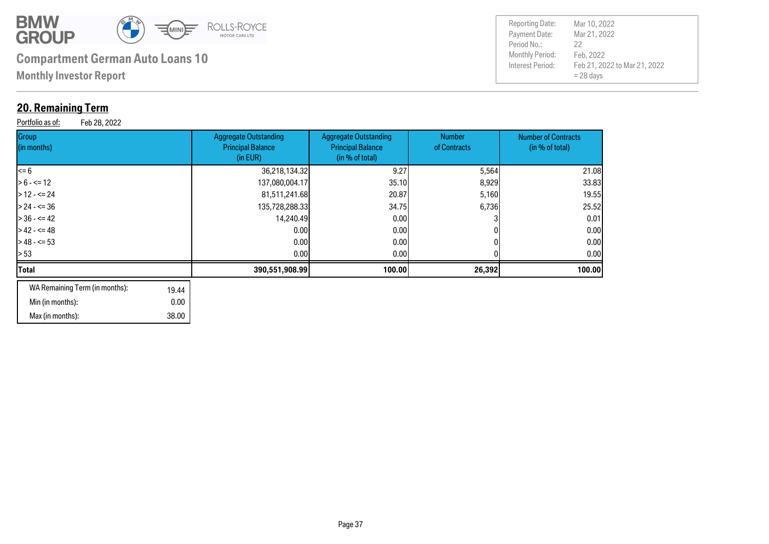

 38.00 0.00

# **Compartment German Auto Loans 10** Monthly Period:

**Monthly Investor Report**

### **20. Remaining Term**

Min (in months): Max (in months):

Portfolio as of: Feb 28, 2022

| Group<br>(in months)                    | <b>Aggregate Outstanding</b><br><b>Principal Balance</b><br>(in EUR) | <b>Aggregate Outstanding</b><br><b>Principal Balance</b><br>(in % of total) | <b>Number</b><br>of Contracts | <b>Number of Contracts</b><br>(in % of total) |
|-----------------------------------------|----------------------------------------------------------------------|-----------------------------------------------------------------------------|-------------------------------|-----------------------------------------------|
| <= 6                                    | 36,218,134.32                                                        | 9.27                                                                        | 5,564                         | 21.08                                         |
| $> 6 - \le 12$                          | 137,080,004.17                                                       | 35.10                                                                       | 8,929                         | 33.83                                         |
| $> 12 - 5 = 24$                         | 81,511,241.68                                                        | 20.87                                                                       | 5,160                         | 19.55                                         |
| > 24 - <= 36                            | 135,728,288.33                                                       | 34.75                                                                       | 6,736                         | 25.52                                         |
| $> 36 - 5 = 42$                         | 14,240.49                                                            | 0.00                                                                        |                               | 0.01                                          |
| > 42 - <= 48                            | 0.00                                                                 | 0.00                                                                        |                               | 0.00                                          |
| $>48 - 53$                              | 0.00                                                                 | 0.00                                                                        |                               | 0.00                                          |
| > 53                                    | 0.00                                                                 | 0.00                                                                        |                               | 0.00                                          |
| Total                                   | 390,551,908.99                                                       | 100.00                                                                      | 26,392                        | 100.00                                        |
| WA Remaining Term (in months):<br>19.44 |                                                                      |                                                                             |                               |                                               |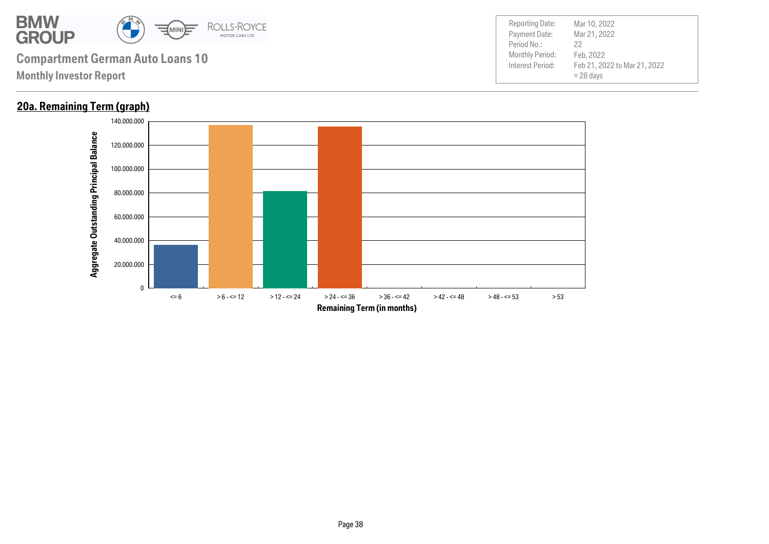

**Monthly Investor Report**

### **20a. Remaining Term (graph)**

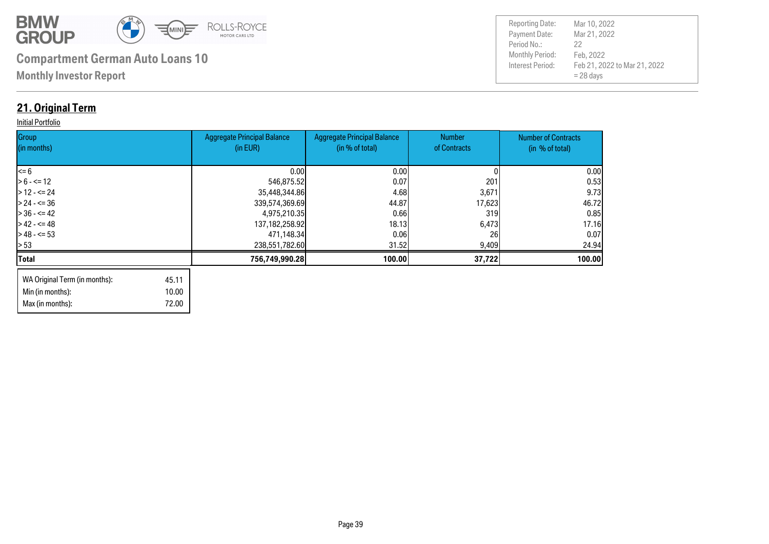

Max (in months): 72.00

| <b>Reporting Date:</b><br>Payment Date:<br>Period No.:<br><b>Monthly Period:</b><br>Interest Period: | Mar 10, 2022<br>Mar 21, 2022<br>22<br>Feb, 2022<br>Feb 21, 2022 to Mar 21, 2022 |
|------------------------------------------------------------------------------------------------------|---------------------------------------------------------------------------------|
|                                                                                                      | $= 28$ days                                                                     |

### **21. Original Term**

#### **Initial Portfolio**

| Group<br>(in months)          |       | <b>Aggregate Principal Balance</b><br>(in EUR) | <b>Aggregate Principal Balance</b><br>(in % of total) | Number<br>of Contracts | <b>Number of Contracts</b><br>(in % of total) |
|-------------------------------|-------|------------------------------------------------|-------------------------------------------------------|------------------------|-----------------------------------------------|
|                               |       |                                                |                                                       |                        |                                               |
| $\leq 6$                      |       | 0.00                                           | 0.00                                                  |                        | 0.00                                          |
| $> 6 - \le 12$                |       | 546,875.52                                     | 0.07                                                  | 201                    | 0.53                                          |
| $> 12 - 5 = 24$               |       | 35,448,344.86                                  | 4.68                                                  | 3,671                  | 9.73                                          |
| $> 24 - 5 = 36$               |       | 339,574,369.69                                 | 44.87                                                 | 17,623                 | 46.72                                         |
| $> 36 - 42$                   |       | 4,975,210.35                                   | 0.66                                                  | 319                    | 0.85                                          |
| $> 42 - 5 = 48$               |       | 137, 182, 258. 92                              | 18.13                                                 | 6,473                  | 17.16                                         |
| $>$ 48 - $\leq$ 53            |       | 471,148.34                                     | 0.06                                                  | 26                     | 0.07                                          |
| $\geq 53$                     |       | 238,551,782.60                                 | 31.52                                                 | 9,409                  | 24.94                                         |
| <b>Total</b>                  |       | 756,749,990.28                                 | 100.00                                                | 37,722                 | 100.00                                        |
| WA Original Term (in months): | 45.11 |                                                |                                                       |                        |                                               |
| Min (in months):              | 10.00 |                                                |                                                       |                        |                                               |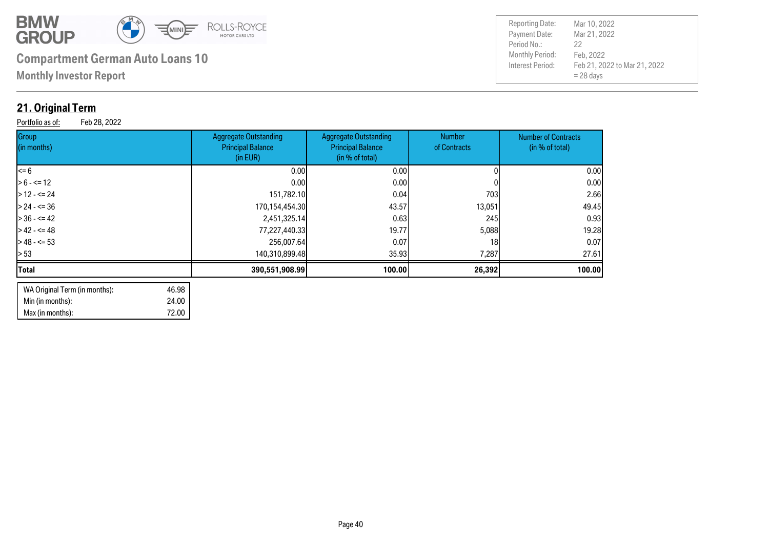

**Monthly Investor Report**

### **21. Original Term**

Portfolio as of: Feb 28, 2022

| <b>Aggregate Outstanding</b><br><b>Principal Balance</b><br>(in EUR) | Aggregate Outstanding<br><b>Principal Balance</b><br>(in % of total) | <b>Number</b><br>of Contracts                                                                     | <b>Number of Contracts</b><br>(in % of total) |
|----------------------------------------------------------------------|----------------------------------------------------------------------|---------------------------------------------------------------------------------------------------|-----------------------------------------------|
|                                                                      | 0.00                                                                 |                                                                                                   | 0.00                                          |
|                                                                      | 0.00                                                                 |                                                                                                   | 0.00                                          |
|                                                                      | 0.04                                                                 | 703                                                                                               | 2.66                                          |
|                                                                      | 43.57                                                                | 13,051                                                                                            | 49.45                                         |
|                                                                      | 0.63                                                                 | 245                                                                                               | 0.93                                          |
|                                                                      | 19.77                                                                | 5,088                                                                                             | 19.28                                         |
|                                                                      | 0.07                                                                 | 18                                                                                                | 0.07                                          |
|                                                                      |                                                                      | 7,287                                                                                             | 27.61                                         |
|                                                                      |                                                                      | 26,392                                                                                            | 100.00                                        |
|                                                                      | 256,007.64<br>390,551,908.99                                         | 0.001<br>0.001<br>151,782.10<br>170,154,454.30<br>2,451,325.14<br>77,227,440.33<br>140,310,899.48 | 35.93<br>100.00                               |

| WA Original Term (in months): | 46.98 |
|-------------------------------|-------|
| Min (in months):              | 24.00 |
| Max (in months):              | 72.00 |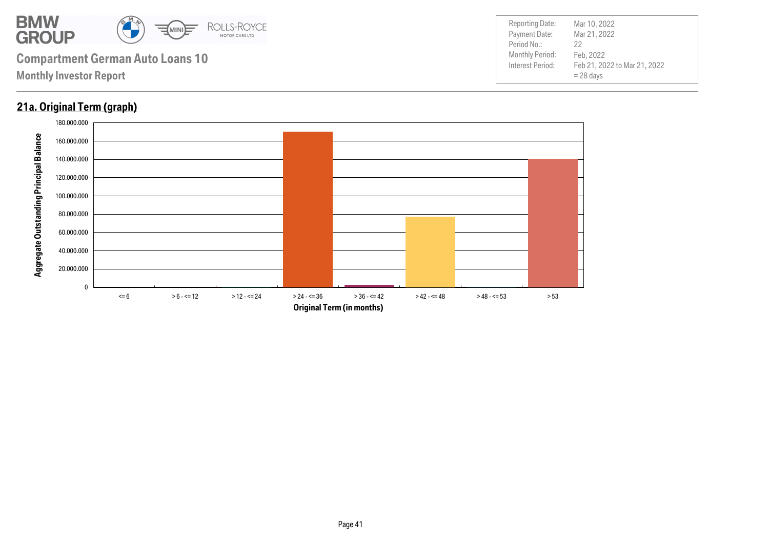

### **21a. Original Term (graph)**

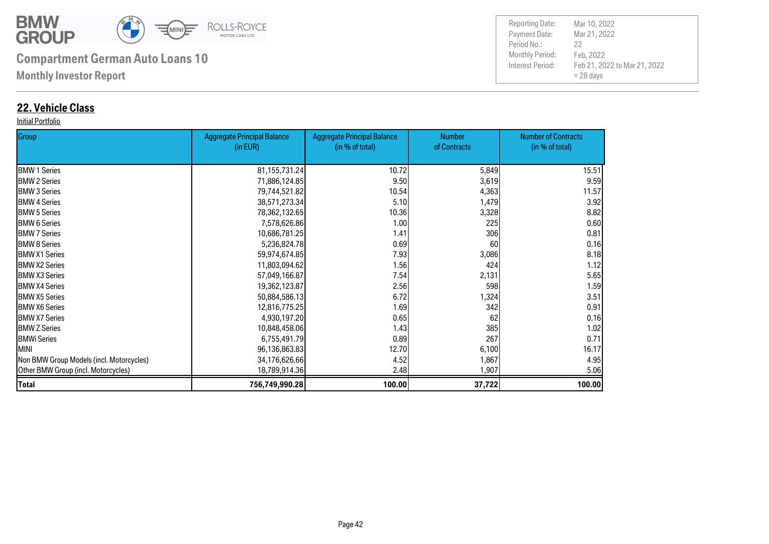

**Monthly Investor Report**

### **22. Vehicle Class**

#### Initial Portfolio

| Group                                    | <b>Aggregate Principal Balance</b> | <b>Aggregate Principal Balance</b> | <b>Number</b> | <b>Number of Contracts</b> |
|------------------------------------------|------------------------------------|------------------------------------|---------------|----------------------------|
|                                          | (in EUR)                           | (in % of total)                    | of Contracts  | (in % of total)            |
| <b>BMW 1 Series</b>                      | 81, 155, 731. 24                   | 10.72                              | 5,849         | 15.51                      |
| <b>BMW 2 Series</b>                      | 71,886,124.85                      | 9.50                               | 3,619         | 9.59                       |
| <b>I</b> BMW 3 Series                    | 79,744,521.82                      | 10.54                              | 4,363         | 11.57                      |
| <b>BMW 4 Series</b>                      | 38,571,273.34                      | 5.10                               | 1,479         | 3.92                       |
| <b>BMW 5 Series</b>                      | 78,362,132.65                      | 10.36                              | 3,328         | 8.82                       |
| <b>BMW 6 Series</b>                      | 7,578,626.86                       | 1.00                               | 225           | 0.60                       |
| <b>I</b> BMW 7 Series                    | 10,686,781.25                      | 1.41                               | 306           | 0.81                       |
| <b>I</b> BMW 8 Series                    | 5,236,824.78                       | 0.69                               | 60            | 0.16                       |
| <b>IBMW X1 Series</b>                    | 59,974,674.85                      | 7.93                               | 3,086         | 8.18                       |
| <b>IBMW X2 Series</b>                    | 11,803,094.62                      | 1.56                               | 424           | 1.12                       |
| <b>IBMW X3 Series</b>                    | 57,049,166.87                      | 7.54                               | 2,131         | 5.65                       |
| <b>BMW X4 Series</b>                     | 19,362,123.87                      | 2.56                               | 598           | 1.59                       |
| <b>IBMW X5 Series</b>                    | 50,884,586.13                      | 6.72                               | 1,324         | 3.51                       |
| <b>BMW X6 Series</b>                     | 12,816,775.25                      | 1.69                               | 342           | 0.91                       |
| <b>BMW X7 Series</b>                     | 4,930,197.20                       | 0.65                               | 62            | 0.16                       |
| <b>BMW Z Series</b>                      | 10,848,458.06                      | 1.43                               | 385           | 1.02                       |
| <b>BMWi Series</b>                       | 6,755,491.79                       | 0.89                               | 267           | 0.71                       |
| <b>MINI</b>                              | 96,136,863.83                      | 12.70                              | 6,100         | 16.17                      |
| Non BMW Group Models (incl. Motorcycles) | 34,176,626.66                      | 4.52                               | 1,867         | 4.95                       |
| Other BMW Group (incl. Motorcycles)      | 18,789,914.36                      | 2.48                               | 1,907         | 5.06                       |
| <b>Total</b>                             | 756,749,990.28                     | 100.00                             | 37,722        | 100.00                     |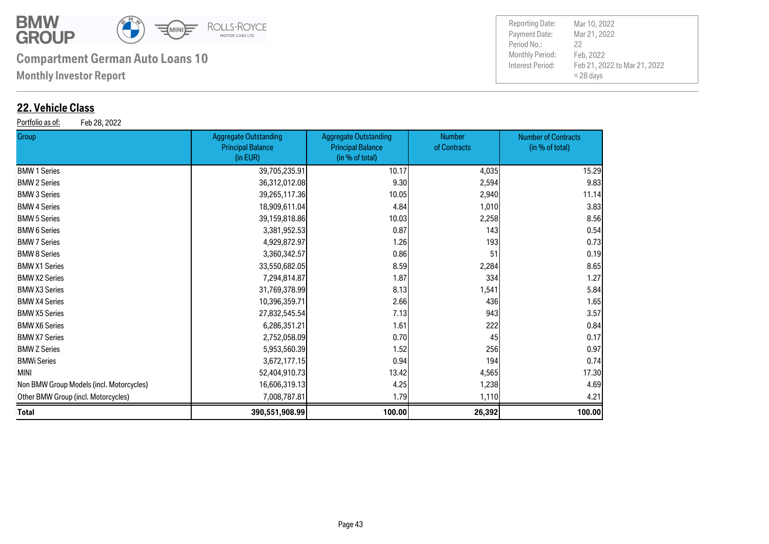

**Monthly Investor Report**

### **22. Vehicle Class**

Portfolio as of: Feb 28, 2022

| <b>Group</b>                             | <b>Aggregate Outstanding</b><br><b>Principal Balance</b><br>(in EUR) | <b>Aggregate Outstanding</b><br><b>Principal Balance</b><br>(in % of total) | <b>Number</b><br>of Contracts | <b>Number of Contracts</b><br>(in % of total) |
|------------------------------------------|----------------------------------------------------------------------|-----------------------------------------------------------------------------|-------------------------------|-----------------------------------------------|
| <b>BMW 1 Series</b>                      | 39,705,235.91                                                        | 10.17                                                                       | 4,035                         | 15.29                                         |
| <b>BMW 2 Series</b>                      | 36,312,012.08                                                        | 9.30                                                                        | 2,594                         | 9.83                                          |
| <b>BMW 3 Series</b>                      | 39,265,117.36                                                        | 10.05                                                                       | 2,940                         | 11.14                                         |
| <b>BMW 4 Series</b>                      | 18,909,611.04                                                        | 4.84                                                                        | 1,010                         | 3.83                                          |
| <b>BMW 5 Series</b>                      | 39,159,818.86                                                        | 10.03                                                                       | 2,258                         | 8.56                                          |
| <b>BMW 6 Series</b>                      | 3,381,952.53                                                         | 0.87                                                                        | 143                           | 0.54                                          |
| <b>BMW 7 Series</b>                      | 4,929,872.97                                                         | 1.26                                                                        | 193                           | 0.73                                          |
| <b>BMW 8 Series</b>                      | 3,360,342.57                                                         | 0.86                                                                        | 51                            | 0.19                                          |
| <b>BMW X1 Series</b>                     | 33,550,682.05                                                        | 8.59                                                                        | 2,284                         | 8.65                                          |
| <b>BMW X2 Series</b>                     | 7,294,814.87                                                         | 1.87                                                                        | 334                           | 1.27                                          |
| <b>BMW X3 Series</b>                     | 31,769,378.99                                                        | 8.13                                                                        | 1,541                         | 5.84                                          |
| <b>BMW X4 Series</b>                     | 10,396,359.71                                                        | 2.66                                                                        | 436                           | 1.65                                          |
| <b>BMW X5 Series</b>                     | 27,832,545.54                                                        | 7.13                                                                        | 943                           | 3.57                                          |
| <b>BMW X6 Series</b>                     | 6,286,351.21                                                         | 1.61                                                                        | 222                           | 0.84                                          |
| <b>BMW X7 Series</b>                     | 2,752,058.09                                                         | 0.70                                                                        | 45                            | 0.17                                          |
| <b>BMW Z Series</b>                      | 5,953,560.39                                                         | 1.52                                                                        | 256                           | 0.97                                          |
| BMWi Series                              | 3,672,177.15                                                         | 0.94                                                                        | 194                           | 0.74                                          |
| MINI                                     | 52,404,910.73                                                        | 13.42                                                                       | 4,565                         | 17.30                                         |
| Non BMW Group Models (incl. Motorcycles) | 16,606,319.13                                                        | 4.25                                                                        | 1,238                         | 4.69                                          |
| Other BMW Group (incl. Motorcycles)      | 7,008,787.81                                                         | 1.79                                                                        | 1,110                         | 4.21                                          |
| Total                                    | 390,551,908.99                                                       | 100.00                                                                      | 26,392                        | 100.00                                        |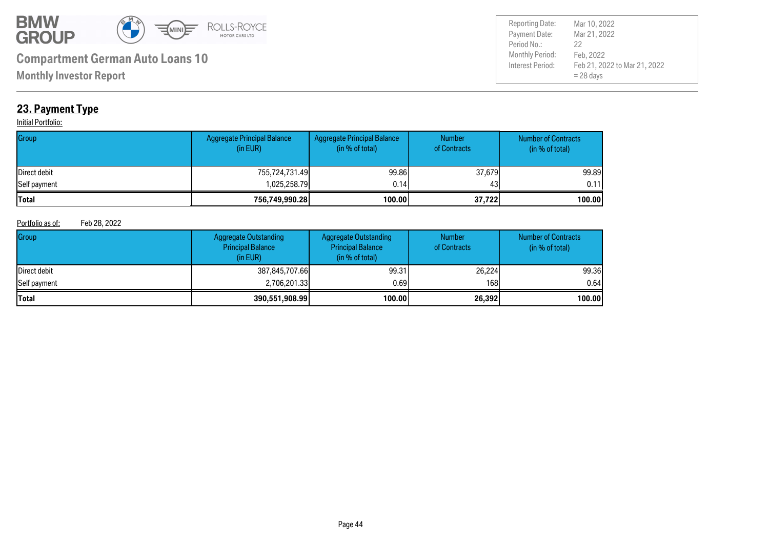

Payment Date: Period No.: Feb 21, 2022 to Mar 21, 2022 = 28 days Mar 21, 2022 Feb, 2022 22 Reporting Date: Mar 10, 2022

**Monthly Investor Report**

### **23. Payment Type**

#### **Initial Portfolio:**

| Group        | Aggregate Principal Balance<br>(in EUR) | Aggregate Principal Balance<br>(in % of total) | <b>Number</b><br>of Contracts | <b>Number of Contracts</b><br>(in % of total) |
|--------------|-----------------------------------------|------------------------------------------------|-------------------------------|-----------------------------------------------|
| Direct debit | 755,724,731.49                          | 99.86                                          | 37,679                        | 99.89                                         |
| Self payment | 1,025,258.79                            | 0.14                                           | 43                            | 0.11                                          |
| <b>Total</b> | 756,749,990.28                          | 100.00                                         | 37,722                        | 100.00                                        |

#### Portfolio as of: Feb 28, 2022

| Group                | Aggregate Outstanding<br><b>Principal Balance</b><br>(in EUR) | <b>Aggregate Outstanding</b><br><b>Principal Balance</b><br>(in % of total) | <b>Number</b><br>of Contracts | <b>Number of Contracts</b><br>(in % of total) |
|----------------------|---------------------------------------------------------------|-----------------------------------------------------------------------------|-------------------------------|-----------------------------------------------|
| <b>IDirect debit</b> | 387,845,707.66                                                | 99.31                                                                       | 26,224                        | 99.36                                         |
| Self payment         | 2,706,201.33                                                  | 0.691                                                                       | 168                           | 0.64                                          |
| <b>Total</b>         | 390,551,908.99                                                | 100.00                                                                      | 26,392                        | 100.00                                        |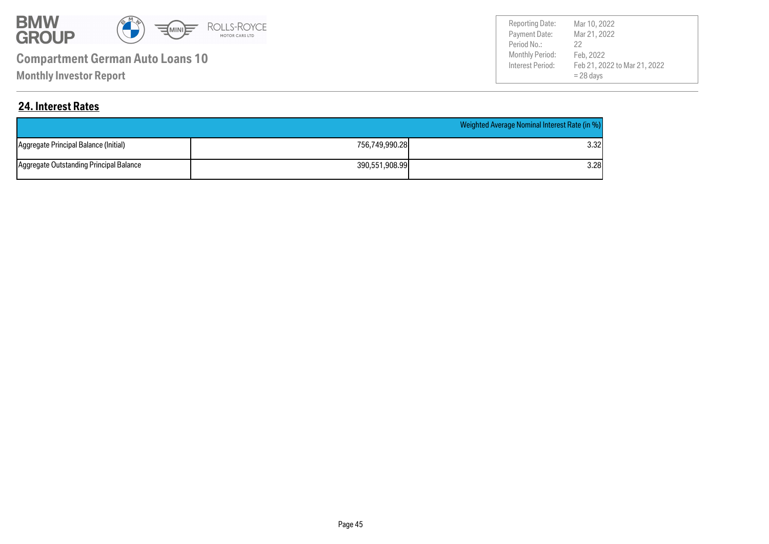

**Monthly Investor Report**

Payment Date: Period No.: Feb 21, 2022 to Mar 21, 2022 = 28 days Mar 21, 2022 Feb, 2022 22 Reporting Date: Mar 10, 2022

### **24. Interest Rates**

|                                         | Weighted Average Nominal Interest Rate (in %) |       |  |
|-----------------------------------------|-----------------------------------------------|-------|--|
| Aggregate Principal Balance (Initial)   | 756,749,990.28                                | 3.32I |  |
| Aggregate Outstanding Principal Balance | 390,551,908.99                                | 3.28  |  |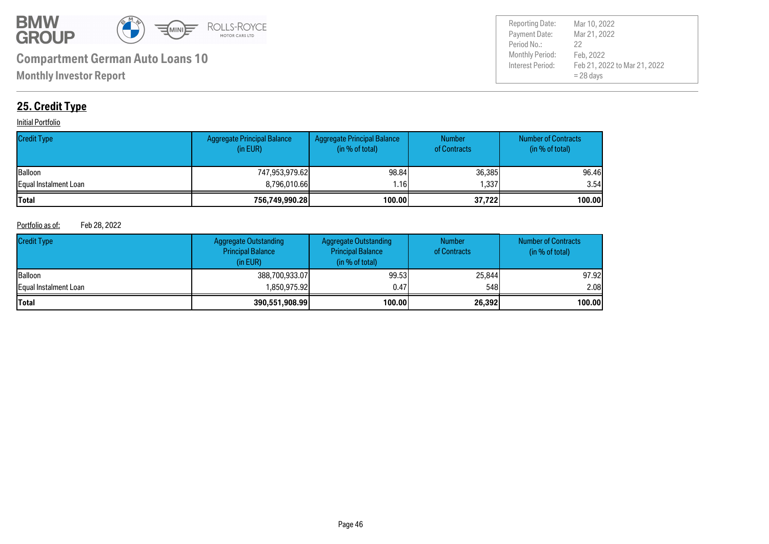

Payment Date: Period No.: Feb 21, 2022 to Mar 21, 2022 = 28 days Mar 21, 2022 Feb, 2022 22 Reporting Date: Mar 10, 2022

### **25. Credit Type**

#### **Initial Portfolio**

| <b>Credit Type</b>    | <b>Aggregate Principal Balance</b><br>(in EUR) | Aggregate Principal Balance<br>(in % of total) | <b>Number</b><br>of Contracts | <b>Number of Contracts</b><br>(in % of total) |
|-----------------------|------------------------------------------------|------------------------------------------------|-------------------------------|-----------------------------------------------|
| <b>Balloon</b>        | 747.953.979.62                                 | 98.84                                          | 36,385                        | 96.46                                         |
| Equal Instalment Loan | 8.796.010.66                                   | l.16İ                                          | 1.337                         | 3.54                                          |
| Total                 | 756,749,990.28                                 | 100.00                                         | 37,722                        | 100.00                                        |

#### Portfolio as of: Feb 28, 2022

| <b>Credit Type</b>           | Aggregate Outstanding<br><b>Principal Balance</b><br>(in EUR) | Aggregate Outstanding<br><b>Principal Balance</b><br>(in % of total) | <b>Number</b><br>of Contracts | <b>Number of Contracts</b><br>(in % of total) |
|------------------------------|---------------------------------------------------------------|----------------------------------------------------------------------|-------------------------------|-----------------------------------------------|
| <b>Balloon</b>               | 388,700,933,07                                                | 99.53                                                                | 25,844                        | 97.92                                         |
| <b>Equal Instalment Loan</b> | ا850.975.92.ا                                                 | 0.47                                                                 | 548                           | 2.08 <sub>l</sub>                             |
| <b>Total</b>                 | 390,551,908.99                                                | 100.00                                                               | 26,392                        | 100.00                                        |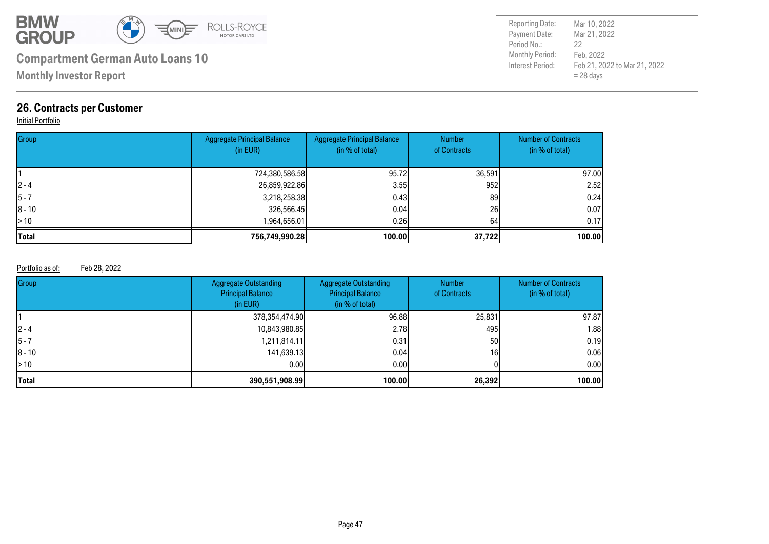

**Monthly Investor Report**

### **26. Contracts per Customer**

#### **Initial Portfolio**

| Group        | <b>Aggregate Principal Balance</b><br>(in EUR) | <b>Aggregate Principal Balance</b><br>(in % of total) | <b>Number</b><br>of Contracts | <b>Number of Contracts</b><br>(in % of total) |
|--------------|------------------------------------------------|-------------------------------------------------------|-------------------------------|-----------------------------------------------|
|              | 724,380,586.58                                 | 95.72                                                 | 36,591                        | 97.00                                         |
| $ 2 - 4 $    | 26,859,922.86                                  | 3.55                                                  | 952                           | 2.52                                          |
| $ 5 - 7$     | 3,218,258.38                                   | 0.43                                                  | 89                            | 0.24                                          |
| $ 8 - 10$    | 326,566.45                                     | 0.04                                                  | 26                            | 0.07                                          |
| $\geq 10$    | 1,964,656.01                                   | 0.261                                                 | 64                            | 0.17                                          |
| <b>Total</b> | 756,749,990.28                                 | 100.00                                                | 37,722                        | 100.00                                        |

#### Portfolio as of: Feb 28, 2022

| Group      | <b>Aggregate Outstanding</b><br><b>Principal Balance</b><br>(in EUR) | <b>Aggregate Outstanding</b><br><b>Principal Balance</b><br>(in % of total) | <b>Number</b><br>of Contracts | <b>Number of Contracts</b><br>(in $%$ of total) |
|------------|----------------------------------------------------------------------|-----------------------------------------------------------------------------|-------------------------------|-------------------------------------------------|
|            | 378,354,474.90                                                       | 96.88                                                                       | 25,831                        | 97.87                                           |
| $12 - 4$   | 10,843,980.85                                                        | 2.78                                                                        | 495                           | 1.88                                            |
| 15 - 7     | 1,211,814.11                                                         | 0.31                                                                        | 50                            | 0.19                                            |
| $ 8 - 10 $ | 141,639.13                                                           | 0.04                                                                        | 16                            | 0.06                                            |
| l> 10      | 0.001                                                                | 0.001                                                                       |                               | 0.00                                            |
| Total      | 390,551,908.99                                                       | 100.00                                                                      | 26,392                        | 100.00                                          |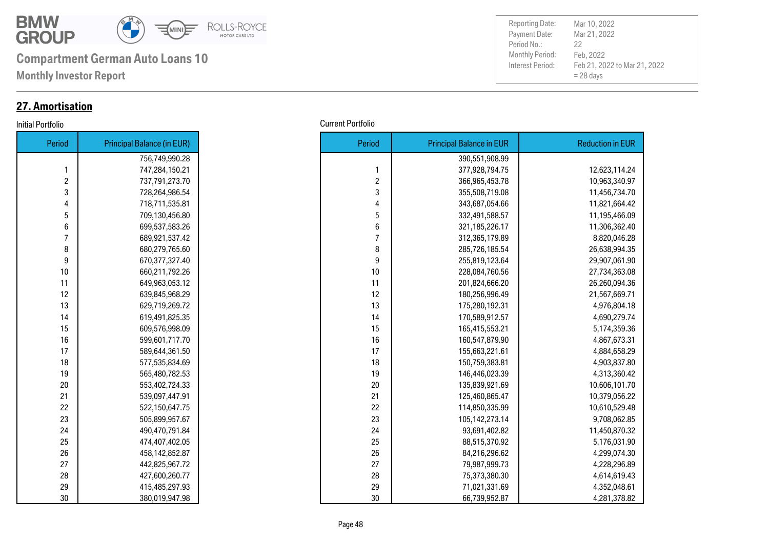

**Monthly Investor Report**

### **27. Amortisation**

| Period | <b>Principal Balance (in EUR)</b> |
|--------|-----------------------------------|
|        | 756,749,990.28                    |
| 1      | 747,284,150.21                    |
| 2      | 737,791,273.70                    |
| 3      | 728,264,986.54                    |
| 4      | 718,711,535.81                    |
| 5      | 709,130,456.80                    |
| 6      | 699,537,583.26                    |
| 7      | 689,921,537.42                    |
| 8      | 680,279,765.60                    |
| 9      | 670,377,327.40                    |
| 10     | 660,211,792.26                    |
| 11     | 649,963,053.12                    |
| 12     | 639,845,968.29                    |
| 13     | 629,719,269.72                    |
| 14     | 619,491,825.35                    |
| 15     | 609,576,998.09                    |
| 16     | 599,601,717.70                    |
| 17     | 589,644,361.50                    |
| 18     | 577,535,834.69                    |
| 19     | 565,480,782.53                    |
| 20     | 553,402,724.33                    |
| 21     | 539,097,447.91                    |
| 22     | 522,150,647.75                    |
| 23     | 505,899,957.67                    |
| 24     | 490,470,791.84                    |
| 25     | 474,407,402.05                    |
| 26     | 458,142,852.87                    |
| 27     | 442,825,967.72                    |
| 28     | 427,600,260.77                    |
| 29     | 415,485,297.93                    |
| 30     | 380,019,947.98                    |

Payment Date: Period No.: Feb 21, 2022 to Mar 21, 2022 = 28 days Mar 21, 2022 Feb, 2022 22 Reporting Date: Mar 10, 2022

#### Initial Portfolio Current Portfolio

| Period           | <b>Principal Balance (in EUR)</b> |
|------------------|-----------------------------------|
|                  | 756,749,990.28                    |
| 1                | 747,284,150.21                    |
| $\boldsymbol{2}$ | 737,791,273.70                    |
| 3                | 728,264,986.54                    |
| 4                | 718,711,535.81                    |
| 5                | 709,130,456.80                    |
| 6                | 699,537,583.26                    |
| $\overline{7}$   | 689,921,537.42                    |
| 8                | 680,279,765.60                    |
| 9                | 670,377,327.40                    |
| 10               | 660,211,792.26                    |
| 11               | 649,963,053.12                    |
| 12               | 639,845,968.29                    |
| 13               | 629,719,269.72                    |
| 14               | 619,491,825.35                    |
| 15               | 609,576,998.09                    |
| 16               | 599,601,717.70                    |
| 17               | 589,644,361.50                    |
| 18               | 577,535,834.69                    |
| 19               | 565,480,782.53                    |
| 20               | 553,402,724.33                    |
| 21               | 539,097,447.91                    |
| 22               | 522,150,647.75                    |
| 23               | 505,899,957.67                    |
| 24               | 490,470,791.84                    |
| 25               | 474,407,402.05                    |
| 26               | 458,142,852.87                    |
| 27               | 442,825,967.72                    |
| 28               | 427,600,260.77                    |
| 29               | 415,485,297.93                    |
| 30               | 380,019,947.98                    |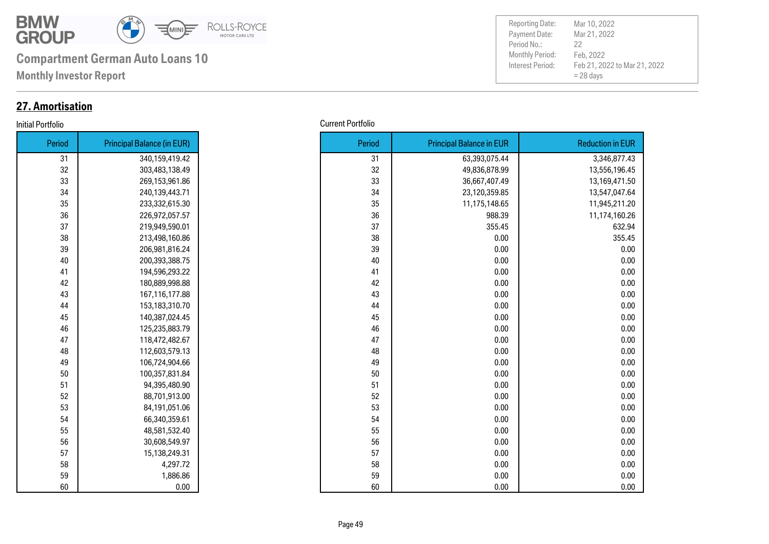

**Monthly Investor Report**

### **27. Amortisation**

#### **Initial Portfolio**

| <b>Reduction in EUR</b> | <b>Principal Balance in EUR</b> | Period | <b>Principal Balance (in EUR)</b> | Period |
|-------------------------|---------------------------------|--------|-----------------------------------|--------|
| 3,346,877.43            | 63,393,075.44                   | 31     | 340,159,419.42                    | 31     |
| 13,556,196.45           | 49,836,878.99                   | 32     | 303,483,138.49                    |        |
| 13,169,471.50           | 36,667,407.49                   | 33     | 269,153,961.86                    |        |
| 13,547,047.64           | 23,120,359.85                   | 34     | 240,139,443.71                    |        |
| 11,945,211.20           | 11,175,148.65                   | 35     | 233,332,615.30                    |        |
| 11,174,160.26           | 988.39                          | 36     | 226,972,057.57                    |        |
| 632.94                  | 355.45                          | 37     | 219,949,590.01                    |        |
| 355.45                  | 0.00                            | 38     | 213,498,160.86                    |        |
|                         | 0.00                            | 39     | 206,981,816.24                    |        |
|                         | 0.00                            | 40     | 200,393,388.75                    |        |
|                         | 0.00                            | 41     | 194,596,293.22                    |        |
|                         | 0.00                            | 42     | 180,889,998.88                    |        |
|                         | 0.00                            | 43     | 167,116,177.88                    |        |
|                         | 0.00                            | 44     | 153,183,310.70                    |        |
|                         | 0.00                            | 45     | 140,387,024.45                    |        |
|                         | 0.00                            | 46     | 125,235,883.79                    |        |
|                         | 0.00                            | 47     | 118,472,482.67                    |        |
|                         | 0.00                            | 48     | 112,603,579.13                    |        |
|                         | 0.00                            | 49     | 106,724,904.66                    |        |
|                         | 0.00                            | 50     | 100,357,831.84                    |        |
|                         | 0.00                            | 51     | 94,395,480.90                     |        |
|                         | 0.00                            | 52     | 88,701,913.00                     |        |
|                         | 0.00                            | 53     | 84,191,051.06                     |        |
|                         | 0.00                            | 54     | 66,340,359.61                     |        |
|                         | 0.00                            | 55     | 48,581,532.40                     |        |
|                         | 0.00                            | 56     | 30,608,549.97                     |        |
|                         | 0.00                            | 57     | 15,138,249.31                     |        |
|                         | 0.00                            | 58     | 4,297.72                          |        |
|                         | 0.00                            | 59     | 1,886.86                          |        |
|                         | 0.00                            | 60     | 0.00                              |        |

| tfolio | <b>Current Portfolio</b>          |  |        |                                 |  |
|--------|-----------------------------------|--|--------|---------------------------------|--|
| Period | <b>Principal Balance (in EUR)</b> |  | Period | <b>Principal Balance in EUR</b> |  |
| 31     | 340,159,419.42                    |  | 31     | 63,393,075.44                   |  |
| 32     | 303,483,138.49                    |  | 32     | 49,836,878.99                   |  |
| 33     | 269,153,961.86                    |  | 33     | 36,667,407.49                   |  |
| 34     | 240,139,443.71                    |  | 34     | 23,120,359.85                   |  |
| 35     | 233,332,615.30                    |  | 35     | 11,175,148.65                   |  |
| 36     | 226,972,057.57                    |  | 36     | 988.39                          |  |
| 37     | 219,949,590.01                    |  | 37     | 355.45                          |  |
| 38     | 213,498,160.86                    |  | 38     | 0.00                            |  |
| 39     | 206,981,816.24                    |  | 39     | 0.00                            |  |
| 40     | 200,393,388.75                    |  | 40     | 0.00                            |  |
| 41     | 194,596,293.22                    |  | 41     | 0.00                            |  |
| 42     | 180,889,998.88                    |  | 42     | 0.00                            |  |
| 43     | 167,116,177.88                    |  | 43     | 0.00                            |  |
| 44     | 153,183,310.70                    |  | 44     | 0.00                            |  |
| 45     | 140,387,024.45                    |  | 45     | 0.00                            |  |
| 46     | 125,235,883.79                    |  | 46     | 0.00                            |  |
| 47     | 118,472,482.67                    |  | 47     | 0.00                            |  |
| 48     | 112,603,579.13                    |  | 48     | 0.00                            |  |
| 49     | 106,724,904.66                    |  | 49     | 0.00                            |  |
| 50     | 100,357,831.84                    |  | 50     | 0.00                            |  |
| 51     | 94,395,480.90                     |  | 51     | 0.00                            |  |
| 52     | 88,701,913.00                     |  | 52     | 0.00                            |  |
| 53     | 84,191,051.06                     |  | 53     | 0.00                            |  |
| 54     | 66,340,359.61                     |  | 54     | 0.00                            |  |
| 55     | 48,581,532.40                     |  | 55     | 0.00                            |  |
| 56     | 30,608,549.97                     |  | 56     | 0.00                            |  |
| 57     | 15,138,249.31                     |  | 57     | 0.00                            |  |
| 58     | 4,297.72                          |  | 58     | 0.00                            |  |
| 59     | 1,886.86                          |  | 59     | 0.00                            |  |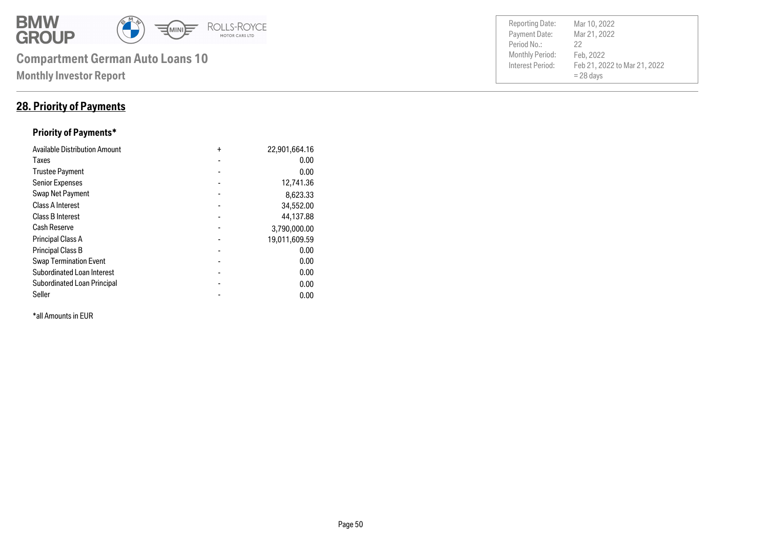

### **28. Priority of Payments**

### **Priority of Payments\***

| <b>Available Distribution Amount</b> | $\ddot{}$      | 22,901,664.16 |
|--------------------------------------|----------------|---------------|
| Taxes                                |                | 0.00          |
| <b>Trustee Payment</b>               |                | 0.00          |
| <b>Senior Expenses</b>               |                | 12,741.36     |
| Swap Net Payment                     |                | 8,623.33      |
| <b>Class A Interest</b>              |                | 34,552.00     |
| <b>Class B Interest</b>              |                | 44,137.88     |
| <b>Cash Reserve</b>                  |                | 3,790,000.00  |
| <b>Principal Class A</b>             |                | 19,011,609.59 |
| <b>Principal Class B</b>             |                | 0.00          |
| <b>Swap Termination Event</b>        |                | 0.00          |
| <b>Subordinated Loan Interest</b>    | $\blacksquare$ | 0.00          |
| Subordinated Loan Principal          |                | 0.00          |
| Seller                               |                | 0.00          |

\*all Amounts in EUR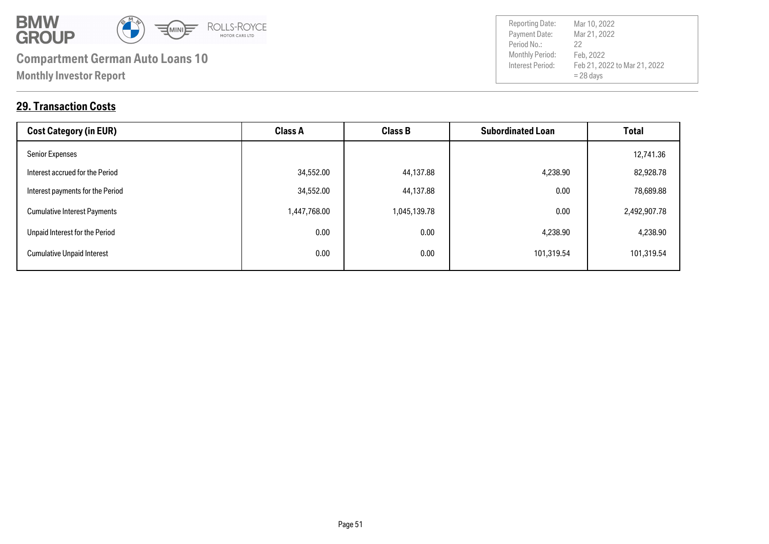

Payment Date: Period No.: Feb 21, 2022 to Mar 21, 2022 = 28 days Mar 21, 2022 Feb, 2022 22

Reporting Date: Mar 10, 2022

### **29. Transaction Costs**

| <b>Cost Category (in EUR)</b>       | <b>Class A</b> | <b>Class B</b> | <b>Subordinated Loan</b> | <b>Total</b> |
|-------------------------------------|----------------|----------------|--------------------------|--------------|
| <b>Senior Expenses</b>              |                |                |                          | 12,741.36    |
| Interest accrued for the Period     | 34,552.00      | 44,137.88      | 4,238.90                 | 82,928.78    |
| Interest payments for the Period    | 34,552.00      | 44,137.88      | 0.00                     | 78,689.88    |
| <b>Cumulative Interest Payments</b> | 1,447,768.00   | 1,045,139.78   | 0.00                     | 2,492,907.78 |
| Unpaid Interest for the Period      | 0.00           | 0.00           | 4,238.90                 | 4,238.90     |
| <b>Cumulative Unpaid Interest</b>   | 0.00           | 0.00           | 101,319.54               | 101,319.54   |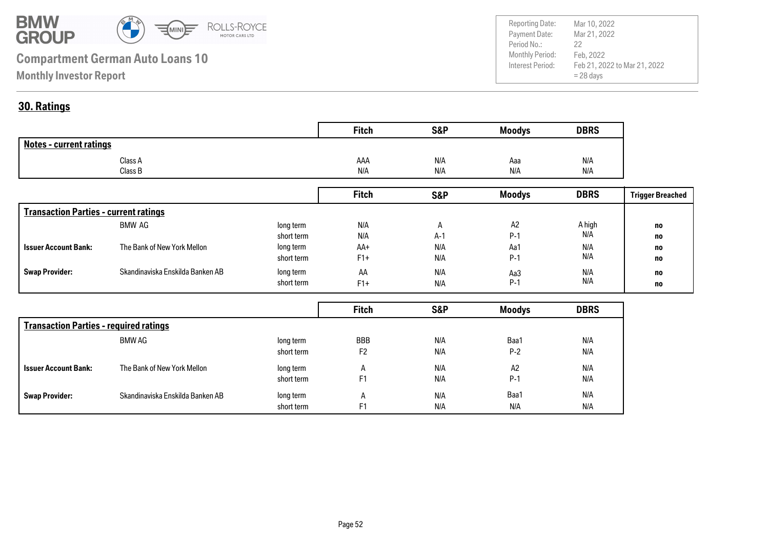

Payment Date: Period No.: Feb 21, 2022 to Mar 21, 2022 = 28 days Mar 21, 2022 Feb, 2022 22 Reporting Date: Mar 10, 2022

### **30. Ratings**

|                                | <b>Fitch</b> | <b>S&amp;P</b> | <b>Moodys</b> | <b>DBRS</b> |
|--------------------------------|--------------|----------------|---------------|-------------|
| <b>Notes - current ratings</b> |              |                |               |             |
| Class A                        | AAA          | N/A            | Aaa           | N/A         |
| Class B                        | N/A          | N/A            | N/A           | N/A         |

|                                              |                                  |            | <b>Fitch</b> | <b>S&amp;P</b> | <b>Moodys</b>  | <b>DBRS</b> | <b>Trigger Breached</b> |
|----------------------------------------------|----------------------------------|------------|--------------|----------------|----------------|-------------|-------------------------|
| <b>Transaction Parties - current ratings</b> |                                  |            |              |                |                |             |                         |
|                                              | BMW AG                           | long term  | N/A          | $\mathsf{H}$   | A <sub>2</sub> | A high      | no                      |
|                                              |                                  | short term | N/A          | $A-1$          | $P-1$          | N/A         | no                      |
| <b>Issuer Account Bank:</b>                  | The Bank of New York Mellon      | long term  | AA+          | N/A            | Aa1            | N/A         | no                      |
|                                              |                                  | short term | $F1+$        | N/A            | $P-1$          | N/A         | no                      |
| <b>Swap Provider:</b>                        | Skandinaviska Enskilda Banken AB | long term  | AA           | N/A            | Aa3            | N/A         | no                      |
|                                              |                                  | short term | $F1+$        | N/A            | $P-1$          | N/A         | no                      |

|                                               |                                  |            | <b>Fitch</b>   | S&P | <b>Moodys</b> | <b>DBRS</b> |
|-----------------------------------------------|----------------------------------|------------|----------------|-----|---------------|-------------|
| <b>Transaction Parties - required ratings</b> |                                  |            |                |     |               |             |
|                                               | BMW AG                           | long term  | <b>BBB</b>     | N/A | Baa1          | N/A         |
|                                               |                                  | short term | F <sub>2</sub> | N/A | $P-2$         | N/A         |
| <b>Issuer Account Bank:</b>                   | The Bank of New York Mellon      | long term  | A              | N/A | A2            | N/A         |
|                                               |                                  | short term | F <sub>1</sub> | N/A | $P-1$         | N/A         |
| <b>Swap Provider:</b>                         | Skandinaviska Enskilda Banken AB | long term  | A              | N/A | Baa1          | N/A         |
|                                               |                                  | short term | F <sub>1</sub> | N/A | N/A           | N/A         |